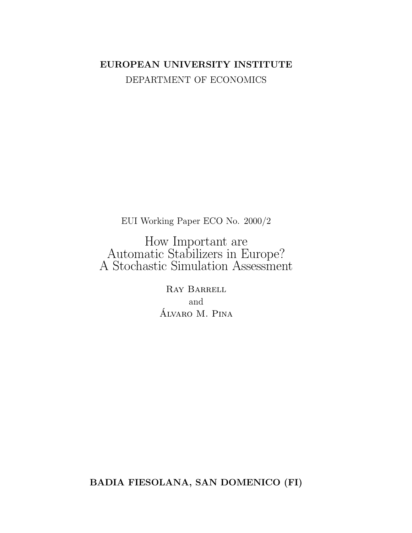# EUROPEAN UNIVERSITY INSTITUTE DEPARTMENT OF ECONOMICS

EUI Working Paper ECO No. 2000/2

How Important are<br>Automatic Stabilizers in Europe?<br>A Stochastic Simulation Assessment

RAY BARRELL and ÁLVARO M. PINA

BADIA FIESOLANA, SAN DOMENICO (FI)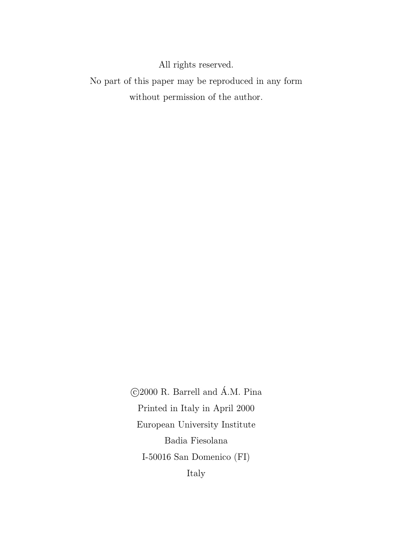All rights reserved.

No part of this paper may be reproduced in any form without permission of the author.

> $\odot$ 2000 R. Barrell and Á.M. Pina Printed in Italy in April  $2000\,$ European University Institute Badia Fiesolana I-50016 San Domenico (FI) Italy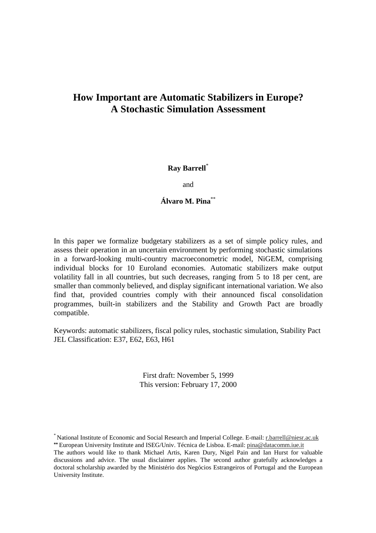## **How Important are Automatic Stabilizers in Europe? A Stochastic Simulation Assessment**

## **Ray Barrell**\*

and

**Álvaro M. Pina**\*\*

In this paper we formalize budgetary stabilizers as a set of simple policy rules, and assess their operation in an uncertain environment by performing stochastic simulations in a forward-looking multi-country macroeconometric model, NiGEM, comprising individual blocks for 10 Euroland economies. Automatic stabilizers make output volatility fall in all countries, but such decreases, ranging from 5 to 18 per cent, are smaller than commonly believed, and display significant international variation. We also find that, provided countries comply with their announced fiscal consolidation programmes, built-in stabilizers and the Stability and Growth Pact are broadly compatible.

Keywords: automatic stabilizers, fiscal policy rules, stochastic simulation, Stability Pact JEL Classification: E37, E62, E63, H61

> First draft: November 5, 1999 This version: February 17, 2000

<sup>\*</sup> National Institute of Economic and Social Research and Imperial College. E-mail: r.barrell@niesr.ac.uk

**<sup>\*\*</sup>** European University Institute and ISEG/Univ. Técnica de Lisboa. E-mail: pina@datacomm.iue.it The authors would like to thank Michael Artis, Karen Dury, Nigel Pain and Ian Hurst for valuable discussions and advice. The usual disclaimer applies. The second author gratefully acknowledges a doctoral scholarship awarded by the Ministério dos Negócios Estrangeiros of Portugal and the European University Institute.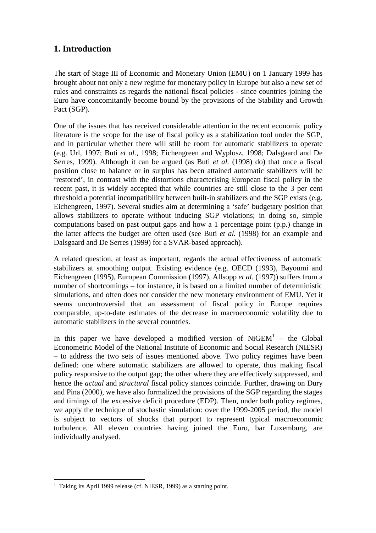## **1. Introduction**

The start of Stage III of Economic and Monetary Union (EMU) on 1 January 1999 has brought about not only a new regime for monetary policy in Europe but also a new set of rules and constraints as regards the national fiscal policies - since countries joining the Euro have concomitantly become bound by the provisions of the Stability and Growth Pact (SGP).

One of the issues that has received considerable attention in the recent economic policy literature is the scope for the use of fiscal policy as a stabilization tool under the SGP, and in particular whether there will still be room for automatic stabilizers to operate (e.g. Url, 1997; Buti *et al.*, 1998; Eichengreen and Wyplosz, 1998; Dalsgaard and De Serres, 1999). Although it can be argued (as Buti *et al.* (1998) do) that once a fiscal position close to balance or in surplus has been attained automatic stabilizers will be 'restored', in contrast with the distortions characterising European fiscal policy in the recent past, it is widely accepted that while countries are still close to the 3 per cent threshold a potential incompatibility between built-in stabilizers and the SGP exists (e.g. Eichengreen, 1997). Several studies aim at determining a 'safe' budgetary position that allows stabilizers to operate without inducing SGP violations; in doing so, simple computations based on past output gaps and how a 1 percentage point (p.p.) change in the latter affects the budget are often used (see Buti *et al.* (1998) for an example and Dalsgaard and De Serres (1999) for a SVAR-based approach).

A related question, at least as important, regards the actual effectiveness of automatic stabilizers at smoothing output. Existing evidence (e.g. OECD (1993), Bayoumi and Eichengreen (1995), European Commission (1997), Allsopp *et al.* (1997)) suffers from a number of shortcomings – for instance, it is based on a limited number of deterministic simulations, and often does not consider the new monetary environment of EMU. Yet it seems uncontroversial that an assessment of fiscal policy in Europe requires comparable, up-to-date estimates of the decrease in macroeconomic volatility due to automatic stabilizers in the several countries.

In this paper we have developed a modified version of  $NiGEM<sup>1</sup>$  – the Global Econometric Model of the National Institute of Economic and Social Research (NIESR) – to address the two sets of issues mentioned above. Two policy regimes have been defined: one where automatic stabilizers are allowed to operate, thus making fiscal policy responsive to the output gap; the other where they are effectively suppressed, and hence the *actual* and *structural* fiscal policy stances coincide. Further, drawing on Dury and Pina (2000), we have also formalized the provisions of the SGP regarding the stages and timings of the excessive deficit procedure (EDP). Then, under both policy regimes, we apply the technique of stochastic simulation: over the 1999-2005 period, the model is subject to vectors of shocks that purport to represent typical macroeconomic turbulence. All eleven countries having joined the Euro, bar Luxemburg, are individually analysed.

 1 Taking its April 1999 release (cf. NIESR, 1999) as a starting point.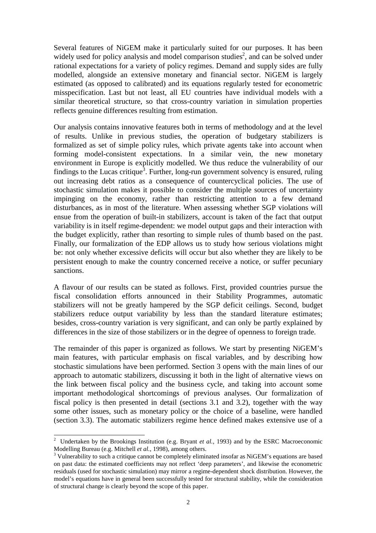Several features of NiGEM make it particularly suited for our purposes. It has been widely used for policy analysis and model comparison studies<sup>2</sup>, and can be solved under rational expectations for a variety of policy regimes. Demand and supply sides are fully modelled, alongside an extensive monetary and financial sector. NiGEM is largely estimated (as opposed to calibrated) and its equations regularly tested for econometric misspecification. Last but not least, all EU countries have individual models with a similar theoretical structure, so that cross-country variation in simulation properties reflects genuine differences resulting from estimation.

Our analysis contains innovative features both in terms of methodology and at the level of results. Unlike in previous studies, the operation of budgetary stabilizers is formalized as set of simple policy rules, which private agents take into account when forming model-consistent expectations. In a similar vein, the new monetary environment in Europe is explicitly modelled. We thus reduce the vulnerability of our findings to the Lucas critique<sup>3</sup>. Further, long-run government solvency is ensured, ruling out increasing debt ratios as a consequence of countercyclical policies. The use of stochastic simulation makes it possible to consider the multiple sources of uncertainty impinging on the economy, rather than restricting attention to a few demand disturbances, as in most of the literature. When assessing whether SGP violations will ensue from the operation of built-in stabilizers, account is taken of the fact that output variability is in itself regime-dependent: we model output gaps and their interaction with the budget explicitly, rather than resorting to simple rules of thumb based on the past. Finally, our formalization of the EDP allows us to study how serious violations might be: not only whether excessive deficits will occur but also whether they are likely to be persistent enough to make the country concerned receive a notice, or suffer pecuniary sanctions.

A flavour of our results can be stated as follows. First, provided countries pursue the fiscal consolidation efforts announced in their Stability Programmes, automatic stabilizers will not be greatly hampered by the SGP deficit ceilings. Second, budget stabilizers reduce output variability by less than the standard literature estimates; besides, cross-country variation is very significant, and can only be partly explained by differences in the size of those stabilizers or in the degree of openness to foreign trade.

The remainder of this paper is organized as follows. We start by presenting NiGEM's main features, with particular emphasis on fiscal variables, and by describing how stochastic simulations have been performed. Section 3 opens with the main lines of our approach to automatic stabilizers, discussing it both in the light of alternative views on the link between fiscal policy and the business cycle, and taking into account some important methodological shortcomings of previous analyses. Our formalization of fiscal policy is then presented in detail (sections 3.1 and 3.2), together with the way some other issues, such as monetary policy or the choice of a baseline, were handled (section 3.3). The automatic stabilizers regime hence defined makes extensive use of a

<sup>&</sup>lt;sup>2</sup> Undertaken by the Brookings Institution (e.g. Bryant *et al.*, 1993) and by the ESRC Macroeconomic Modelling Bureau (e.g. Mitchell *et al.*, 1998), among others.

<sup>&</sup>lt;sup>3</sup> Vulnerability to such a critique cannot be completely eliminated insofar as NiGEM's equations are based on past data: the estimated coefficients may not reflect 'deep parameters', and likewise the econometric residuals (used for stochastic simulation) may mirror a regime-dependent shock distribution. However, the model's equations have in general been successfully tested for structural stability, while the consideration of structural change is clearly beyond the scope of this paper.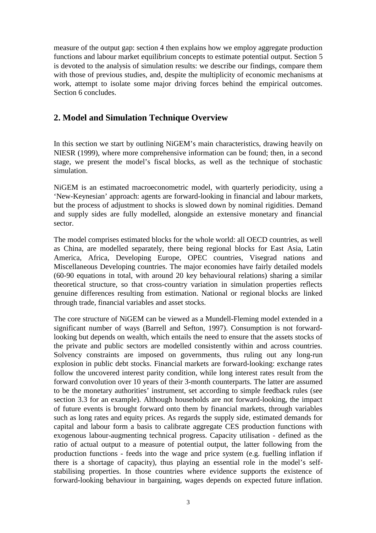measure of the output gap: section 4 then explains how we employ aggregate production functions and labour market equilibrium concepts to estimate potential output. Section 5 is devoted to the analysis of simulation results: we describe our findings, compare them with those of previous studies, and, despite the multiplicity of economic mechanisms at work, attempt to isolate some major driving forces behind the empirical outcomes. Section 6 concludes.

## **2. Model and Simulation Technique Overview**

In this section we start by outlining NiGEM's main characteristics, drawing heavily on NIESR (1999), where more comprehensive information can be found; then, in a second stage, we present the model's fiscal blocks, as well as the technique of stochastic simulation.

NiGEM is an estimated macroeconometric model, with quarterly periodicity, using a 'New-Keynesian' approach: agents are forward-looking in financial and labour markets, but the process of adjustment to shocks is slowed down by nominal rigidities. Demand and supply sides are fully modelled, alongside an extensive monetary and financial sector.

The model comprises estimated blocks for the whole world: all OECD countries, as well as China, are modelled separately, there being regional blocks for East Asia, Latin America, Africa, Developing Europe, OPEC countries, Visegrad nations and Miscellaneous Developing countries. The major economies have fairly detailed models (60-90 equations in total, with around 20 key behavioural relations) sharing a similar theoretical structure, so that cross-country variation in simulation properties reflects genuine differences resulting from estimation. National or regional blocks are linked through trade, financial variables and asset stocks.

The core structure of NiGEM can be viewed as a Mundell-Fleming model extended in a significant number of ways (Barrell and Sefton, 1997). Consumption is not forwardlooking but depends on wealth, which entails the need to ensure that the assets stocks of the private and public sectors are modelled consistently within and across countries. Solvency constraints are imposed on governments, thus ruling out any long-run explosion in public debt stocks. Financial markets are forward-looking: exchange rates follow the uncovered interest parity condition, while long interest rates result from the forward convolution over 10 years of their 3-month counterparts. The latter are assumed to be the monetary authorities' instrument, set according to simple feedback rules (see section 3.3 for an example). Although households are not forward-looking, the impact of future events is brought forward onto them by financial markets, through variables such as long rates and equity prices. As regards the supply side, estimated demands for capital and labour form a basis to calibrate aggregate CES production functions with exogenous labour-augmenting technical progress. Capacity utilisation - defined as the ratio of actual output to a measure of potential output, the latter following from the production functions - feeds into the wage and price system (e.g. fuelling inflation if there is a shortage of capacity), thus playing an essential role in the model's selfstabilising properties. In those countries where evidence supports the existence of forward-looking behaviour in bargaining, wages depends on expected future inflation.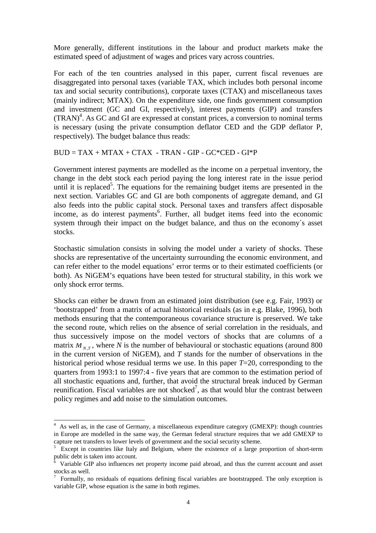More generally, different institutions in the labour and product markets make the estimated speed of adjustment of wages and prices vary across countries.

For each of the ten countries analysed in this paper, current fiscal revenues are disaggregated into personal taxes (variable TAX, which includes both personal income tax and social security contributions), corporate taxes (CTAX) and miscellaneous taxes (mainly indirect; MTAX). On the expenditure side, one finds government consumption and investment (GC and GI, respectively), interest payments (GIP) and transfers  $(TRAN)<sup>4</sup>$ . As GC and GI are expressed at constant prices, a conversion to nominal terms is necessary (using the private consumption deflator CED and the GDP deflator P, respectively). The budget balance thus reads:

 $BUD = TAX + MTAX + CTAX - TRAN - GIP - GC^*CED - GI^*P$ 

Government interest payments are modelled as the income on a perpetual inventory, the change in the debt stock each period paying the long interest rate in the issue period until it is replaced<sup>5</sup>. The equations for the remaining budget items are presented in the next section. Variables GC and GI are both components of aggregate demand, and GI also feeds into the public capital stock. Personal taxes and transfers affect disposable income, as do interest payments<sup>6</sup>. Further, all budget items feed into the economic system through their impact on the budget balance, and thus on the economy´s asset stocks.

Stochastic simulation consists in solving the model under a variety of shocks. These shocks are representative of the uncertainty surrounding the economic environment, and can refer either to the model equations' error terms or to their estimated coefficients (or both). As NiGEM's equations have been tested for structural stability, in this work we only shock error terms.

Shocks can either be drawn from an estimated joint distribution (see e.g. Fair, 1993) or 'bootstrapped' from a matrix of actual historical residuals (as in e.g. Blake, 1996), both methods ensuring that the contemporaneous covariance structure is preserved. We take the second route, which relies on the absence of serial correlation in the residuals, and thus successively impose on the model vectors of shocks that are columns of a matrix  $M_{NT}$ , where *N* is the number of behavioural or stochastic equations (around 800) in the current version of NiGEM), and *T* stands for the number of observations in the historical period whose residual terms we use. In this paper *T*=20, corresponding to the quarters from 1993:1 to 1997:4 - five years that are common to the estimation period of all stochastic equations and, further, that avoid the structural break induced by German reunification. Fiscal variables are not shocked<sup>7</sup>, as that would blur the contrast between policy regimes and add noise to the simulation outcomes.

<sup>&</sup>lt;sup>4</sup> As well as, in the case of Germany, a miscellaneous expenditure category (GMEXP): though countries in Europe are modelled in the same way, the German federal structure requires that we add GMEXP to capture net transfers to lower levels of government and the social security scheme.

<sup>5</sup> Except in countries like Italy and Belgium, where the existence of a large proportion of short-term public debt is taken into account.

<sup>6</sup> Variable GIP also influences net property income paid abroad, and thus the current account and asset stocks as well.

<sup>7</sup> Formally, no residuals of equations defining fiscal variables are bootstrapped. The only exception is variable GIP, whose equation is the same in both regimes.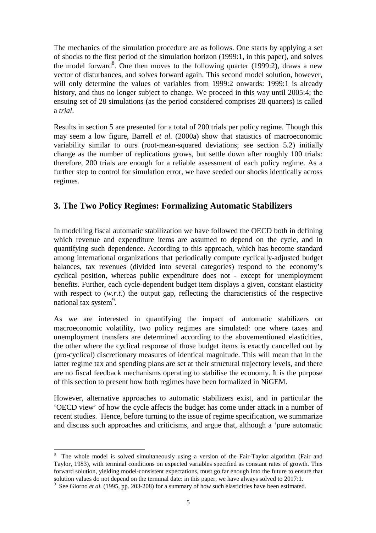The mechanics of the simulation procedure are as follows. One starts by applying a set of shocks to the first period of the simulation horizon (1999:1, in this paper), and solves the model forward<sup>8</sup>. One then moves to the following quarter (1999:2), draws a new vector of disturbances, and solves forward again. This second model solution, however, will only determine the values of variables from 1999:2 onwards: 1999:1 is already history, and thus no longer subject to change. We proceed in this way until 2005:4; the ensuing set of 28 simulations (as the period considered comprises 28 quarters) is called a *trial*.

Results in section 5 are presented for a total of 200 trials per policy regime. Though this may seem a low figure, Barrell *et al.* (2000a) show that statistics of macroeconomic variability similar to ours (root-mean-squared deviations; see section 5.2) initially change as the number of replications grows, but settle down after roughly 100 trials: therefore, 200 trials are enough for a reliable assessment of each policy regime. As a further step to control for simulation error, we have seeded our shocks identically across regimes.

## **3. The Two Policy Regimes: Formalizing Automatic Stabilizers**

In modelling fiscal automatic stabilization we have followed the OECD both in defining which revenue and expenditure items are assumed to depend on the cycle, and in quantifying such dependence. According to this approach, which has become standard among international organizations that periodically compute cyclically-adjusted budget balances, tax revenues (divided into several categories) respond to the economy's cyclical position, whereas public expenditure does not - except for unemployment benefits. Further, each cycle-dependent budget item displays a given, constant elasticity with respect to  $(w.r.t.)$  the output gap, reflecting the characteristics of the respective national tax system<sup>9</sup>.

As we are interested in quantifying the impact of automatic stabilizers on macroeconomic volatility, two policy regimes are simulated: one where taxes and unemployment transfers are determined according to the abovementioned elasticities, the other where the cyclical response of those budget items is exactly cancelled out by (pro-cyclical) discretionary measures of identical magnitude. This will mean that in the latter regime tax and spending plans are set at their structural trajectory levels, and there are no fiscal feedback mechanisms operating to stabilise the economy. It is the purpose of this section to present how both regimes have been formalized in NiGEM.

However, alternative approaches to automatic stabilizers exist, and in particular the 'OECD view' of how the cycle affects the budget has come under attack in a number of recent studies. Hence, before turning to the issue of regime specification, we summarize and discuss such approaches and criticisms, and argue that, although a 'pure automatic

 $\overline{a}$ <sup>8</sup> The whole model is solved simultaneously using a version of the Fair-Taylor algorithm (Fair and Taylor, 1983), with terminal conditions on expected variables specified as constant rates of growth. This forward solution, yielding model-consistent expectations, must go far enough into the future to ensure that solution values do not depend on the terminal date: in this paper, we have always solved to 2017:1.

 $9$  See Giorno *et al.* (1995, pp. 203-208) for a summary of how such elasticities have been estimated.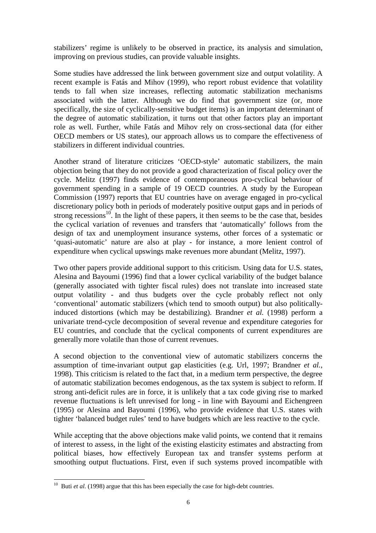stabilizers' regime is unlikely to be observed in practice, its analysis and simulation, improving on previous studies, can provide valuable insights.

Some studies have addressed the link between government size and output volatility. A recent example is Fatás and Mihov (1999), who report robust evidence that volatility tends to fall when size increases, reflecting automatic stabilization mechanisms associated with the latter. Although we do find that government size (or, more specifically, the size of cyclically-sensitive budget items) is an important determinant of the degree of automatic stabilization, it turns out that other factors play an important role as well. Further, while Fatás and Mihov rely on cross-sectional data (for either OECD members or US states), our approach allows us to compare the effectiveness of stabilizers in different individual countries.

Another strand of literature criticizes 'OECD-style' automatic stabilizers, the main objection being that they do not provide a good characterization of fiscal policy over the cycle. Melitz (1997) finds evidence of contemporaneous pro-cyclical behaviour of government spending in a sample of 19 OECD countries. A study by the European Commission (1997) reports that EU countries have on average engaged in pro-cyclical discretionary policy both in periods of moderately positive output gaps and in periods of strong recessions<sup>10</sup>. In the light of these papers, it then seems to be the case that, besides the cyclical variation of revenues and transfers that 'automatically' follows from the design of tax and unemployment insurance systems, other forces of a systematic or 'quasi-automatic' nature are also at play - for instance, a more lenient control of expenditure when cyclical upswings make revenues more abundant (Melitz, 1997).

Two other papers provide additional support to this criticism. Using data for U.S. states, Alesina and Bayoumi (1996) find that a lower cyclical variability of the budget balance (generally associated with tighter fiscal rules) does not translate into increased state output volatility - and thus budgets over the cycle probably reflect not only 'conventional' automatic stabilizers (which tend to smooth output) but also politicallyinduced distortions (which may be destabilizing). Brandner *et al.* (1998) perform a univariate trend-cycle decomposition of several revenue and expenditure categories for EU countries, and conclude that the cyclical components of current expenditures are generally more volatile than those of current revenues.

A second objection to the conventional view of automatic stabilizers concerns the assumption of time-invariant output gap elasticities (e.g. Url, 1997; Brandner *et al.*, 1998). This criticism is related to the fact that, in a medium term perspective, the degree of automatic stabilization becomes endogenous, as the tax system is subject to reform. If strong anti-deficit rules are in force, it is unlikely that a tax code giving rise to marked revenue fluctuations is left unrevised for long - in line with Bayoumi and Eichengreen (1995) or Alesina and Bayoumi (1996), who provide evidence that U.S. states with tighter 'balanced budget rules' tend to have budgets which are less reactive to the cycle.

While accepting that the above objections make valid points, we contend that it remains of interest to assess, in the light of the existing elasticity estimates and abstracting from political biases, how effectively European tax and transfer systems perform at smoothing output fluctuations. First, even if such systems proved incompatible with

<sup>&</sup>lt;sup>10</sup> Buti *et al.* (1998) argue that this has been especially the case for high-debt countries.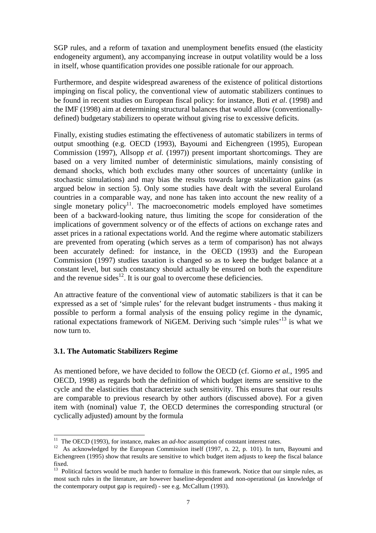SGP rules, and a reform of taxation and unemployment benefits ensued (the elasticity endogeneity argument), any accompanying increase in output volatility would be a loss in itself, whose quantification provides one possible rationale for our approach.

Furthermore, and despite widespread awareness of the existence of political distortions impinging on fiscal policy, the conventional view of automatic stabilizers continues to be found in recent studies on European fiscal policy: for instance, Buti *et al*. (1998) and the IMF (1998) aim at determining structural balances that would allow (conventionallydefined) budgetary stabilizers to operate without giving rise to excessive deficits.

Finally, existing studies estimating the effectiveness of automatic stabilizers in terms of output smoothing (e.g. OECD (1993), Bayoumi and Eichengreen (1995), European Commission (1997), Allsopp *et al.* (1997)) present important shortcomings. They are based on a very limited number of deterministic simulations, mainly consisting of demand shocks, which both excludes many other sources of uncertainty (unlike in stochastic simulations) and may bias the results towards large stabilization gains (as argued below in section 5). Only some studies have dealt with the several Euroland countries in a comparable way, and none has taken into account the new reality of a single monetary policy<sup>11</sup>. The macroeconometric models employed have sometimes been of a backward-looking nature, thus limiting the scope for consideration of the implications of government solvency or of the effects of actions on exchange rates and asset prices in a rational expectations world. And the regime where automatic stabilizers are prevented from operating (which serves as a term of comparison) has not always been accurately defined: for instance, in the OECD (1993) and the European Commission (1997) studies taxation is changed so as to keep the budget balance at a constant level, but such constancy should actually be ensured on both the expenditure and the revenue sides $^{12}$ . It is our goal to overcome these deficiencies.

An attractive feature of the conventional view of automatic stabilizers is that it can be expressed as a set of 'simple rules' for the relevant budget instruments - thus making it possible to perform a formal analysis of the ensuing policy regime in the dynamic, rational expectations framework of NiGEM. Deriving such 'simple rules'13 is what we now turn to.

### **3.1. The Automatic Stabilizers Regime**

As mentioned before, we have decided to follow the OECD (cf. Giorno *et al.*, 1995 and OECD, 1998) as regards both the definition of which budget items are sensitive to the cycle and the elasticities that characterize such sensitivity. This ensures that our results are comparable to previous research by other authors (discussed above). For a given item with (nominal) value *T*, the OECD determines the corresponding structural (or cyclically adjusted) amount by the formula

<sup>&</sup>lt;sup>11</sup> The OECD (1993), for instance, makes an  $ad-hoc$  assumption of constant interest rates.

<sup>&</sup>lt;sup>12</sup> As acknowledged by the European Commission itself (1997, n. 22, p. 101). In turn, Bayoumi and Eichengreen (1995) show that results are sensitive to which budget item adjusts to keep the fiscal balance fixed.

<sup>&</sup>lt;sup>13</sup> Political factors would be much harder to formalize in this framework. Notice that our simple rules, as most such rules in the literature, are however baseline-dependent and non-operational (as knowledge of the contemporary output gap is required) - see e.g. McCallum (1993).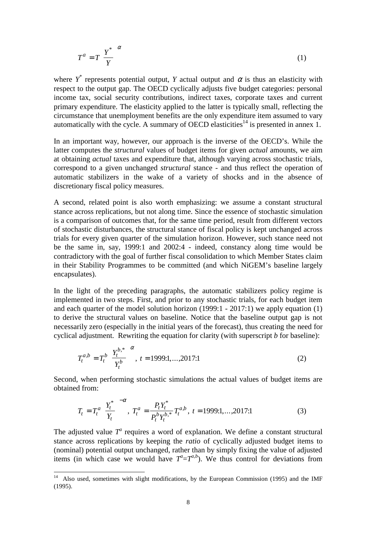$$
T^a = T \left(\frac{Y^*}{Y}\right)^\alpha \tag{1}
$$

where  $Y^*$  represents potential output, *Y* actual output and  $\alpha$  is thus an elasticity with respect to the output gap. The OECD cyclically adjusts five budget categories: personal income tax, social security contributions, indirect taxes, corporate taxes and current primary expenditure. The elasticity applied to the latter is typically small, reflecting the circumstance that unemployment benefits are the only expenditure item assumed to vary automatically with the cycle. A summary of OECD elasticities<sup>14</sup> is presented in annex 1.

In an important way, however, our approach is the inverse of the OECD's. While the latter computes the *structural* values of budget items for given *actual* amounts, we aim at obtaining *actual* taxes and expenditure that, although varying across stochastic trials, correspond to a given unchanged *structural* stance - and thus reflect the operation of automatic stabilizers in the wake of a variety of shocks and in the absence of discretionary fiscal policy measures.

A second, related point is also worth emphasizing: we assume a constant structural stance across replications, but not along time. Since the essence of stochastic simulation is a comparison of outcomes that, for the same time period, result from different vectors of stochastic disturbances, the structural stance of fiscal policy is kept unchanged across trials for every given quarter of the simulation horizon. However, such stance need not be the same in, say, 1999:1 and 2002:4 - indeed, constancy along time would be contradictory with the goal of further fiscal consolidation to which Member States claim in their Stability Programmes to be committed (and which NiGEM's baseline largely encapsulates).

In the light of the preceding paragraphs, the automatic stabilizers policy regime is implemented in two steps. First, and prior to any stochastic trials, for each budget item and each quarter of the model solution horizon (1999:1 - 2017:1) we apply equation (1) to derive the structural values on baseline. Notice that the baseline output gap is not necessarily zero (especially in the initial years of the forecast), thus creating the need for cyclical adjustment. Rewriting the equation for clarity (with superscript *b* for baseline):

$$
T_t^{a,b} = T_t^b \left(\frac{Y_t^{b,*}}{Y_t^b}\right)^\alpha, \ t = 1999:1,\dots,2017:1\tag{2}
$$

Second, when performing stochastic simulations the actual values of budget items are obtained from:

$$
T_t = T_t^a \left(\frac{Y_t^*}{Y_t}\right)^{-\alpha}, \ T_t^a = \frac{P_t Y_t^*}{P_t^b Y_t^{b,*}} T_t^{a,b}, \ t = 1999:1,\dots,2017:1
$$
 (3)

The adjusted value  $T^a$  requires a word of explanation. We define a constant structural stance across replications by keeping the *ratio* of cyclically adjusted budget items to (nominal) potential output unchanged, rather than by simply fixing the value of adjusted items (in which case we would have  $T^a = T^{a,b}$ ). We thus control for deviations from

<sup>&</sup>lt;sup>14</sup> Also used, sometimes with slight modifications, by the European Commission (1995) and the IMF (1995).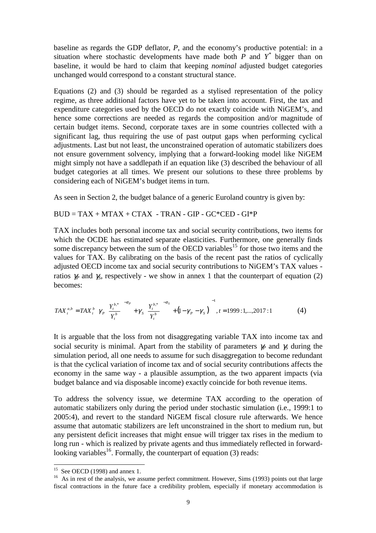baseline as regards the GDP deflator, *P*, and the economy's productive potential: in a situation where stochastic developments have made both  $\overline{P}$  and  $\overline{Y}^*$  bigger than on baseline, it would be hard to claim that keeping *nominal* adjusted budget categories unchanged would correspond to a constant structural stance.

Equations (2) and (3) should be regarded as a stylised representation of the policy regime, as three additional factors have yet to be taken into account. First, the tax and expenditure categories used by the OECD do not exactly coincide with NiGEM's, and hence some corrections are needed as regards the composition and/or magnitude of certain budget items. Second, corporate taxes are in some countries collected with a significant lag, thus requiring the use of past output gaps when performing cyclical adjustments. Last but not least, the unconstrained operation of automatic stabilizers does not ensure government solvency, implying that a forward-looking model like NiGEM might simply not have a saddlepath if an equation like (3) described the behaviour of all budget categories at all times. We present our solutions to these three problems by considering each of NiGEM's budget items in turn.

As seen in Section 2, the budget balance of a generic Euroland country is given by:

 $BUD = TAX + MTAX + CTAX - TRAN - GIP - GC^*CED - GI^*P$ 

TAX includes both personal income tax and social security contributions, two items for which the OCDE has estimated separate elasticities. Furthermore, one generally finds some discrepancy between the sum of the OECD variables<sup>15</sup> for those two items and the values for TAX. By calibrating on the basis of the recent past the ratios of cyclically adjusted OECD income tax and social security contributions to NiGEM's TAX values ratios  $\gamma$  and  $\gamma$ <sub>S</sub>, respectively - we show in annex 1 that the counterpart of equation (2) becomes:

$$
TAX_t^{a,b} = TAX_t^b \left[ \gamma_p \left( \frac{Y_t^{b,*}}{Y_t^b} \right)^{-\alpha_p} + \gamma_s \left( \frac{Y_t^{b,*}}{Y_t^b} \right)^{-\alpha_s} + (1 - \gamma_p - \gamma_s) \right]^{-1}, t = 1999 : 1, \dots, 2017 : 1
$$
 (4)

It is arguable that the loss from not disaggregating variable TAX into income tax and social security is minimal. Apart from the stability of parameters  $\gamma$  and  $\gamma$  during the simulation period, all one needs to assume for such disaggregation to become redundant is that the cyclical variation of income tax and of social security contributions affects the economy in the same way - a plausible assumption, as the two apparent impacts (via budget balance and via disposable income) exactly coincide for both revenue items.

To address the solvency issue, we determine TAX according to the operation of automatic stabilizers only during the period under stochastic simulation (i.e., 1999:1 to 2005:4), and revert to the standard NiGEM fiscal closure rule afterwards. We hence assume that automatic stabilizers are left unconstrained in the short to medium run, but any persistent deficit increases that might ensue will trigger tax rises in the medium to long run - which is realized by private agents and thus immediately reflected in forwardlooking variables<sup>16</sup>. Formally, the counterpart of equation  $(3)$  reads:

 $15$  See OECD (1998) and annex 1.

<sup>&</sup>lt;sup>16</sup> As in rest of the analysis, we assume perfect commitment. However, Sims (1993) points out that large fiscal contractions in the future face a credibility problem, especially if monetary accommodation is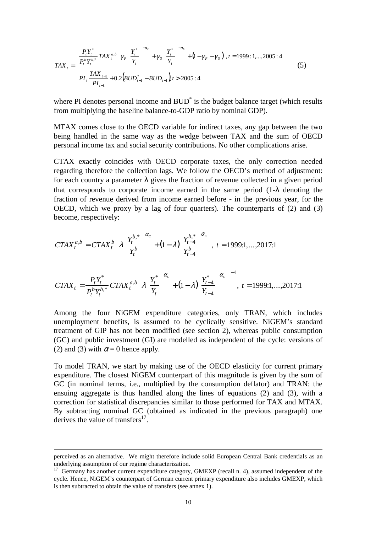$$
TAX_{t} = \begin{cases} \frac{P_{t}Y_{t}^{*}}{P_{t}^{b}Y_{t}^{b,*}}TAX_{t}^{a,b} \left[\gamma_{P}\left(\frac{Y_{t}^{*}}{Y_{t}}\right)^{-\alpha_{P}} + \gamma_{S}\left(\frac{Y_{t}^{*}}{Y_{t}}\right)^{-\alpha_{S}} + (1-\gamma_{P}-\gamma_{S})\right], t = 1999:1,...,2005:4\\ PI_{t} \frac{TAX_{t-1}}{PI_{t-1}} + 0.2(BUD_{t-1}^{*} - BUD_{t-1})t > 2005:4 \end{cases}
$$
(5)

where PI denotes personal income and  $BUD^*$  is the budget balance target (which results from multiplying the baseline balance-to-GDP ratio by nominal GDP).

MTAX comes close to the OECD variable for indirect taxes, any gap between the two being handled in the same way as the wedge between TAX and the sum of OECD personal income tax and social security contributions. No other complications arise.

CTAX exactly coincides with OECD corporate taxes, the only correction needed regarding therefore the collection lags. We follow the OECD's method of adjustment: for each country a parameter  $\lambda$  gives the fraction of revenue collected in a given period that corresponds to corporate income earned in the same period  $(1-\lambda)$  denoting the fraction of revenue derived from income earned before - in the previous year, for the OECD, which we proxy by a lag of four quarters). The counterparts of (2) and (3) become, respectively:

$$
CTAX_t^{a,b} = CTAX_t^b \left[ \lambda \left( \frac{Y_t^{b,*}}{Y_t^b} \right)^{\alpha_c} + (1 - \lambda) \left( \frac{Y_{t-4}^{b,*}}{Y_{t-4}^b} \right)^{\alpha_c} \right], \ t = 1999:1, \dots, 2017:1
$$
  

$$
CTAX_t = \frac{P_t Y_t^*}{P_t^b Y_t^{b,*}} CTAX_t^{a,b} \left[ \lambda \left( \frac{Y_t^*}{Y_t} \right)^{\alpha_c} + (1 - \lambda) \left( \frac{Y_{t-4}^*}{Y_{t-4}} \right)^{\alpha_c} \right]^{-1}, \ t = 1999:1, \dots, 2017:1
$$

Among the four NiGEM expenditure categories, only TRAN, which includes unemployment benefits, is assumed to be cyclically sensitive. NiGEM's standard treatment of GIP has not been modified (see section 2), whereas public consumption (GC) and public investment (GI) are modelled as independent of the cycle: versions of (2) and (3) with  $\alpha = 0$  hence apply.

To model TRAN, we start by making use of the OECD elasticity for current primary expenditure. The closest NiGEM counterpart of this magnitude is given by the sum of GC (in nominal terms, i.e., multiplied by the consumption deflator) and TRAN: the ensuing aggregate is thus handled along the lines of equations (2) and (3), with a correction for statistical discrepancies similar to those performed for TAX and MTAX. By subtracting nominal GC (obtained as indicated in the previous paragraph) one derives the value of transfers<sup>17</sup>.

perceived as an alternative. We might therefore include solid European Central Bank credentials as an underlying assumption of our regime characterization.

<sup>&</sup>lt;sup>17</sup> Germany has another current expenditure category, GMEXP (recall n. 4), assumed independent of the cycle. Hence, NiGEM's counterpart of German current primary expenditure also includes GMEXP, which is then subtracted to obtain the value of transfers (see annex 1).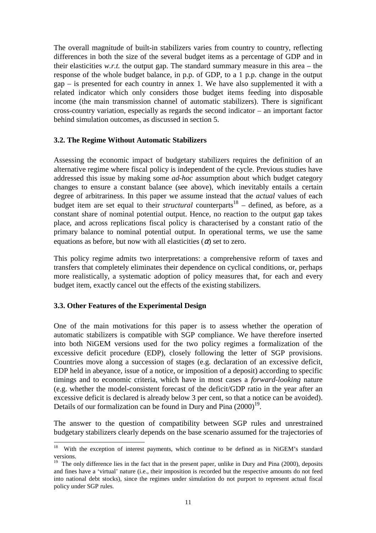The overall magnitude of built-in stabilizers varies from country to country, reflecting differences in both the size of the several budget items as a percentage of GDP and in their elasticities *w.r.t.* the output gap. The standard summary measure in this area  $-$  the response of the whole budget balance, in p.p. of GDP, to a 1 p.p. change in the output gap – is presented for each country in annex 1. We have also supplemented it with a related indicator which only considers those budget items feeding into disposable income (the main transmission channel of automatic stabilizers). There is significant cross-country variation, especially as regards the second indicator – an important factor behind simulation outcomes, as discussed in section 5.

### **3.2. The Regime Without Automatic Stabilizers**

Assessing the economic impact of budgetary stabilizers requires the definition of an alternative regime where fiscal policy is independent of the cycle. Previous studies have addressed this issue by making some *ad-hoc* assumption about which budget category changes to ensure a constant balance (see above), which inevitably entails a certain degree of arbitrariness. In this paper we assume instead that the *actual* values of each budget item are set equal to their *structural* counterparts<sup>18</sup> – defined, as before, as a constant share of nominal potential output. Hence, no reaction to the output gap takes place, and across replications fiscal policy is characterised by a constant ratio of the primary balance to nominal potential output. In operational terms, we use the same equations as before, but now with all elasticities  $(\alpha)$  set to zero.

This policy regime admits two interpretations: a comprehensive reform of taxes and transfers that completely eliminates their dependence on cyclical conditions, or, perhaps more realistically, a systematic adoption of policy measures that, for each and every budget item, exactly cancel out the effects of the existing stabilizers.

### **3.3. Other Features of the Experimental Design**

 $\overline{a}$ 

One of the main motivations for this paper is to assess whether the operation of automatic stabilizers is compatible with SGP compliance. We have therefore inserted into both NiGEM versions used for the two policy regimes a formalization of the excessive deficit procedure (EDP), closely following the letter of SGP provisions. Countries move along a succession of stages (e.g. declaration of an excessive deficit, EDP held in abeyance, issue of a notice, or imposition of a deposit) according to specific timings and to economic criteria, which have in most cases a *forward-looking* nature (e.g. whether the model-consistent forecast of the deficit/GDP ratio in the year after an excessive deficit is declared is already below 3 per cent, so that a notice can be avoided). Details of our formalization can be found in Dury and Pina  $(2000)^{19}$ .

The answer to the question of compatibility between SGP rules and unrestrained budgetary stabilizers clearly depends on the base scenario assumed for the trajectories of

<sup>&</sup>lt;sup>18</sup> With the exception of interest payments, which continue to be defined as in NiGEM's standard versions.

<sup>&</sup>lt;sup>19</sup> The only difference lies in the fact that in the present paper, unlike in Dury and Pina (2000), deposits and fines have a 'virtual' nature (i.e., their imposition is recorded but the respective amounts do not feed into national debt stocks), since the regimes under simulation do not purport to represent actual fiscal policy under SGP rules.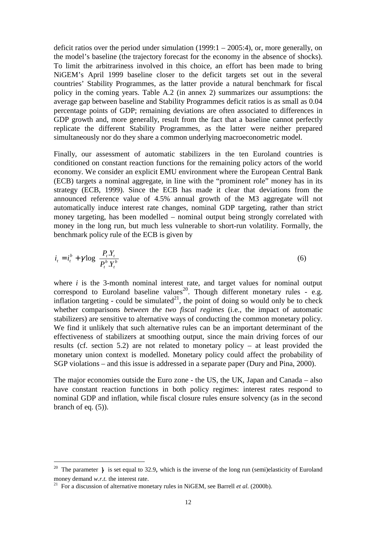deficit ratios over the period under simulation  $(1999:1 - 2005:4)$ , or, more generally, on the model's baseline (the trajectory forecast for the economy in the absence of shocks). To limit the arbitrariness involved in this choice, an effort has been made to bring NiGEM's April 1999 baseline closer to the deficit targets set out in the several countries' Stability Programmes, as the latter provide a natural benchmark for fiscal policy in the coming years. Table A.2 (in annex 2) summarizes our assumptions: the average gap between baseline and Stability Programmes deficit ratios is as small as 0.04 percentage points of GDP; remaining deviations are often associated to differences in GDP growth and, more generally, result from the fact that a baseline cannot perfectly replicate the different Stability Programmes, as the latter were neither prepared simultaneously nor do they share a common underlying macroeconometric model.

Finally, our assessment of automatic stabilizers in the ten Euroland countries is conditioned on constant reaction functions for the remaining policy actors of the world economy. We consider an explicit EMU environment where the European Central Bank (ECB) targets a nominal aggregate, in line with the "prominent role" money has in its strategy (ECB, 1999). Since the ECB has made it clear that deviations from the announced reference value of 4.5% annual growth of the M3 aggregate will not automatically induce interest rate changes, nominal GDP targeting, rather than strict money targeting, has been modelled – nominal output being strongly correlated with money in the long run, but much less vulnerable to short-run volatility. Formally, the benchmark policy rule of the ECB is given by

$$
i_t = i_t^b + \gamma \log \left( \frac{P_t Y_t}{P_t^b Y_t^b} \right) \tag{6}
$$

where  $i$  is the 3-month nominal interest rate, and target values for nominal output correspond to Euroland baseline values<sup>20</sup>. Though different monetary rules - e.g. inflation targeting - could be simulated<sup>21</sup>, the point of doing so would only be to check whether comparisons *between the two fiscal regimes* (i.e., the impact of automatic stabilizers) are sensitive to alternative ways of conducting the common monetary policy. We find it unlikely that such alternative rules can be an important determinant of the effectiveness of stabilizers at smoothing output, since the main driving forces of our results (cf. section 5.2) are not related to monetary policy – at least provided the monetary union context is modelled. Monetary policy could affect the probability of SGP violations – and this issue is addressed in a separate paper (Dury and Pina, 2000).

The major economies outside the Euro zone - the US, the UK, Japan and Canada – also have constant reaction functions in both policy regimes: interest rates respond to nominal GDP and inflation, while fiscal closure rules ensure solvency (as in the second branch of eq.  $(5)$ ).

<sup>&</sup>lt;sup>20</sup> The parameter  $\gamma$  is set equal to 32.9, which is the inverse of the long run (semi)elasticity of Euroland money demand *w.r.t.* the interest rate.<br><sup>21</sup> For a discussion of alternative monetary rules in NiGEM, see Barrell *et al.* (2000b).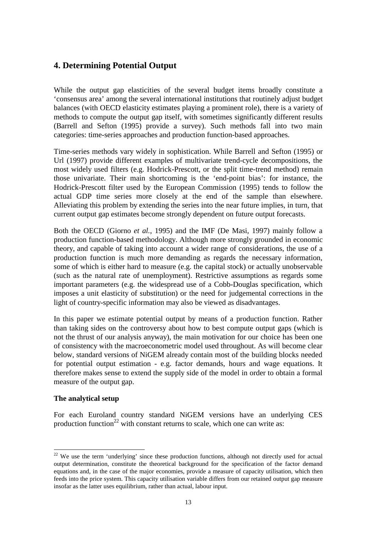## **4. Determining Potential Output**

While the output gap elasticities of the several budget items broadly constitute a 'consensus area' among the several international institutions that routinely adjust budget balances (with OECD elasticity estimates playing a prominent role), there is a variety of methods to compute the output gap itself, with sometimes significantly different results (Barrell and Sefton (1995) provide a survey). Such methods fall into two main categories: time-series approaches and production function-based approaches.

Time-series methods vary widely in sophistication. While Barrell and Sefton (1995) or Url (1997) provide different examples of multivariate trend-cycle decompositions, the most widely used filters (e.g. Hodrick-Prescott, or the split time-trend method) remain those univariate. Their main shortcoming is the 'end-point bias': for instance, the Hodrick-Prescott filter used by the European Commission (1995) tends to follow the actual GDP time series more closely at the end of the sample than elsewhere. Alleviating this problem by extending the series into the near future implies, in turn, that current output gap estimates become strongly dependent on future output forecasts.

Both the OECD (Giorno *et al.*, 1995) and the IMF (De Masi, 1997) mainly follow a production function-based methodology. Although more strongly grounded in economic theory, and capable of taking into account a wider range of considerations, the use of a production function is much more demanding as regards the necessary information, some of which is either hard to measure (e.g. the capital stock) or actually unobservable (such as the natural rate of unemployment). Restrictive assumptions as regards some important parameters (e.g. the widespread use of a Cobb-Douglas specification, which imposes a unit elasticity of substitution) or the need for judgemental corrections in the light of country-specific information may also be viewed as disadvantages.

In this paper we estimate potential output by means of a production function. Rather than taking sides on the controversy about how to best compute output gaps (which is not the thrust of our analysis anyway), the main motivation for our choice has been one of consistency with the macroeconometric model used throughout. As will become clear below, standard versions of NiGEM already contain most of the building blocks needed for potential output estimation - e.g. factor demands, hours and wage equations. It therefore makes sense to extend the supply side of the model in order to obtain a formal measure of the output gap.

## **The analytical setup**

For each Euroland country standard NiGEM versions have an underlying CES production function<sup>22</sup> with constant returns to scale, which one can write as:

 $\overline{a}$  $22$  We use the term 'underlying' since these production functions, although not directly used for actual output determination, constitute the theoretical background for the specification of the factor demand equations and, in the case of the major economies, provide a measure of capacity utilisation, which then feeds into the price system. This capacity utilisation variable differs from our retained output gap measure insofar as the latter uses equilibrium, rather than actual, labour input.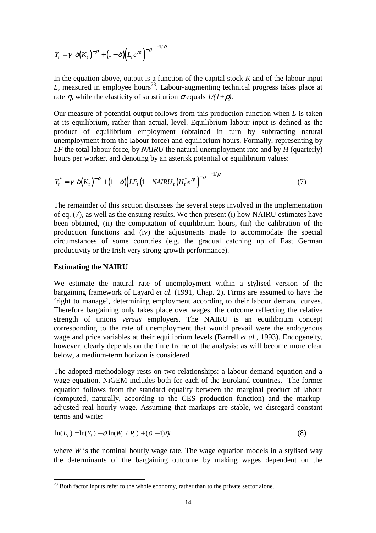$$
Y_t = \gamma \bigg[ \delta \big( K_t \big)^{-\rho} + \big( 1 - \delta \big) \big( L_t e^{\eta t} \big)^{-\rho} \bigg]^{-1/\rho}
$$

In the equation above, output is a function of the capital stock  $K$  and of the labour input  $L$ , measured in employee hours<sup>23</sup>. Labour-augmenting technical progress takes place at rate *n*, while the elasticity of substitution  $\sigma$  equals  $1/(1+\rho)$ .

Our measure of potential output follows from this production function when *L* is taken at its equilibrium, rather than actual, level. Equilibrium labour input is defined as the product of equilibrium employment (obtained in turn by subtracting natural unemployment from the labour force) and equilibrium hours. Formally, representing by *LF* the total labour force, by *NAIRU* the natural unemployment rate and by  $H$  (quarterly) hours per worker, and denoting by an asterisk potential or equilibrium values:

$$
Y_t^* = \gamma \bigg[ \delta(K_t)^{-\rho} + (1 - \delta) \bigg( L F_t \big( 1 - N A I R U_t \big) H_t^* e^{\eta t} \bigg)^{-\rho} \bigg]^{-1/\rho} \tag{7}
$$

The remainder of this section discusses the several steps involved in the implementation of eq. (7), as well as the ensuing results. We then present (i) how NAIRU estimates have been obtained, (ii) the computation of equilibrium hours, (iii) the calibration of the production functions and (iv) the adjustments made to accommodate the special circumstances of some countries (e.g. the gradual catching up of East German productivity or the Irish very strong growth performance).

#### **Estimating the NAIRU**

 $\overline{a}$ 

We estimate the natural rate of unemployment within a stylised version of the bargaining framework of Layard *et al.* (1991, Chap. 2). Firms are assumed to have the 'right to manage', determining employment according to their labour demand curves. Therefore bargaining only takes place over wages, the outcome reflecting the relative strength of unions *versus* employers. The NAIRU is an equilibrium concept corresponding to the rate of unemployment that would prevail were the endogenous wage and price variables at their equilibrium levels (Barrell *et al.*, 1993). Endogeneity, however, clearly depends on the time frame of the analysis: as will become more clear below, a medium-term horizon is considered.

The adopted methodology rests on two relationships: a labour demand equation and a wage equation. NiGEM includes both for each of the Euroland countries. The former equation follows from the standard equality between the marginal product of labour (computed, naturally, according to the CES production function) and the markupadjusted real hourly wage. Assuming that markups are stable, we disregard constant terms and write:

$$
\ln(L_t) = \ln(Y_t) - \sigma \ln(W_t / P_t) + (\sigma - 1)\eta t \tag{8}
$$

where *W* is the nominal hourly wage rate. The wage equation models in a stylised way the determinants of the bargaining outcome by making wages dependent on the

 $^{23}$  Both factor inputs refer to the whole economy, rather than to the private sector alone.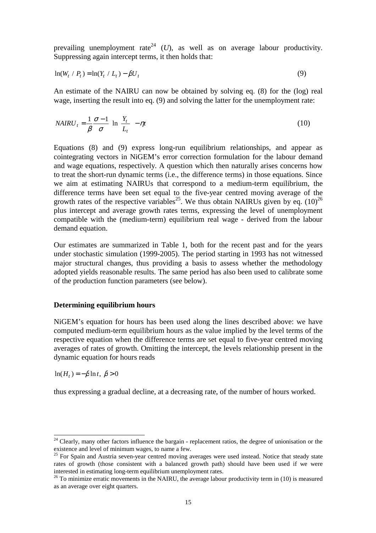prevailing unemployment rate<sup>24</sup> (*U*), as well as on average labour productivity. Suppressing again intercept terms, it then holds that:

$$
\ln(W_t \mid P_t) = \ln(Y_t \mid L_t) - \beta U_t \tag{9}
$$

An estimate of the NAIRU can now be obtained by solving eq. (8) for the (log) real wage, inserting the result into eq. (9) and solving the latter for the unemployment rate:

$$
NAIRU_t = \frac{1}{\beta} \frac{\sigma - 1}{\sigma} \left[ \ln \left( \frac{Y_t}{L_t} \right) - \eta t \right]
$$
 (10)

Equations (8) and (9) express long-run equilibrium relationships, and appear as cointegrating vectors in NiGEM's error correction formulation for the labour demand and wage equations, respectively. A question which then naturally arises concerns how to treat the short-run dynamic terms (i.e., the difference terms) in those equations. Since we aim at estimating NAIRUs that correspond to a medium-term equilibrium, the difference terms have been set equal to the five-year centred moving average of the growth rates of the respective variables<sup>25</sup>. We thus obtain NAIRUs given by eq.  $(10)^{26}$ plus intercept and average growth rates terms, expressing the level of unemployment compatible with the (medium-term) equilibrium real wage - derived from the labour demand equation.

Our estimates are summarized in Table 1, both for the recent past and for the years under stochastic simulation (1999-2005). The period starting in 1993 has not witnessed major structural changes, thus providing a basis to assess whether the methodology adopted yields reasonable results. The same period has also been used to calibrate some of the production function parameters (see below).

#### **Determining equilibrium hours**

NiGEM's equation for hours has been used along the lines described above: we have computed medium-term equilibrium hours as the value implied by the level terms of the respective equation when the difference terms are set equal to five-year centred moving averages of rates of growth. Omitting the intercept, the levels relationship present in the dynamic equation for hours reads

 $ln(H_t) = -\beta ln t$ ,  $\beta > 0$ 

 $\overline{a}$ 

thus expressing a gradual decline, at a decreasing rate, of the number of hours worked.

<sup>&</sup>lt;sup>24</sup> Clearly, many other factors influence the bargain - replacement ratios, the degree of unionisation or the existence and level of minimum wages, to name a few.

<sup>&</sup>lt;sup>25</sup> For Spain and Austria seven-year centred moving averages were used instead. Notice that steady state rates of growth (those consistent with a balanced growth path) should have been used if we were interested in estimating long-term equilibrium unemployment rates.

 $26$  To minimize erratic movements in the NAIRU, the average labour productivity term in (10) is measured as an average over eight quarters.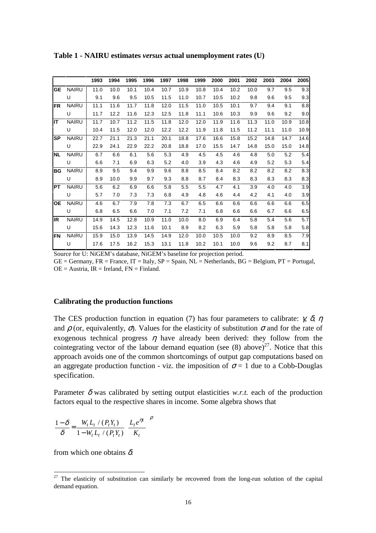|           |              | 1993 | 1994 | 1995 | 1996 | 1997 | 1998 | 1999 | 2000 | 2001 | 2002 | 2003 | 2004 | 2005 |
|-----------|--------------|------|------|------|------|------|------|------|------|------|------|------|------|------|
| <b>GE</b> | <b>NAIRU</b> | 11.0 | 10.0 | 10.1 | 10.4 | 10.7 | 10.9 | 10.8 | 10.4 | 10.2 | 10.0 | 9.7  | 9.5  | 9.3  |
|           | U            | 9.1  | 9.6  | 9.5  | 10.5 | 11.5 | 11.0 | 10.7 | 10.5 | 10.2 | 9.8  | 9.6  | 9.5  | 9.3  |
| <b>FR</b> | <b>NAIRU</b> | 11.1 | 11.6 | 11.7 | 11.8 | 12.0 | 11.5 | 11.0 | 10.5 | 10.1 | 9.7  | 9.4  | 9.1  | 8.8  |
|           | U            | 11.7 | 12.2 | 11.6 | 12.3 | 12.5 | 11.8 | 11.1 | 10.6 | 10.3 | 9.9  | 9.6  | 9.2  | 9.0  |
| IΤ        | <b>NAIRU</b> | 11.7 | 10.7 | 11.2 | 11.5 | 11.8 | 12.0 | 12.0 | 11.9 | 11.6 | 11.3 | 11.0 | 10.9 | 10.8 |
|           | U            | 10.4 | 11.5 | 12.0 | 12.0 | 12.2 | 12.2 | 11.9 | 11.8 | 11.5 | 11.2 | 11.1 | 11.0 | 10.9 |
| <b>SP</b> | <b>NAIRU</b> | 22.7 | 21.1 | 21.3 | 21.1 | 20.1 | 18.8 | 17.6 | 16.6 | 15.8 | 15.2 | 14.8 | 14.7 | 14.6 |
|           | U            | 22.9 | 24.1 | 22.9 | 22.2 | 20.8 | 18.8 | 17.0 | 15.5 | 14.7 | 14.8 | 15.0 | 15.0 | 14.8 |
| <b>NL</b> | <b>NAIRU</b> | 6.7  | 6.6  | 6.1  | 5.6  | 5.3  | 4.9  | 4.5  | 4.5  | 4.6  | 4.8  | 5.0  | 5.2  | 5.4  |
|           | U            | 6.6  | 7.1  | 6.9  | 6.3  | 5.2  | 4.0  | 3.9  | 4.3  | 4.6  | 4.9  | 5.2  | 5.3  | 5.4  |
| <b>BG</b> | <b>NAIRU</b> | 8.9  | 9.5  | 9.4  | 9.9  | 9.6  | 8.8  | 8.5  | 8.4  | 8.2  | 8.2  | 8.2  | 8.2  | 8.3  |
|           | U            | 8.9  | 10.0 | 9.9  | 9.7  | 9.3  | 8.8  | 8.7  | 8.4  | 8.3  | 8.3  | 8.3  | 8.3  | 8.3  |
| <b>PT</b> | <b>NAIRU</b> | 5.6  | 6.2  | 6.9  | 6.6  | 5.8  | 5.5  | 5.5  | 4.7  | 4.1  | 3.9  | 4.0  | 4.0  | 3.9  |
|           | U            | 5.7  | 7.0  | 7.3  | 7.3  | 6.8  | 4.9  | 4.8  | 4.6  | 4.4  | 4.2  | 4.1  | 4.0  | 3.9  |
| <b>OE</b> | <b>NAIRU</b> | 4.6  | 6.7  | 7.9  | 7.8  | 7.3  | 6.7  | 6.5  | 6.6  | 6.6  | 6.6  | 6.6  | 6.6  | 6.5  |
|           | U            | 6.8  | 6.5  | 6.6  | 7.0  | 7.1  | 7.2  | 7.1  | 6.8  | 6.6  | 6.6  | 6.7  | 6.6  | 6.5  |
| IR.       | <b>NAIRU</b> | 14.9 | 14.5 | 12.8 | 10.9 | 11.0 | 10.0 | 8.0  | 6.9  | 6.4  | 5.8  | 5.4  | 5.6  | 5.7  |
|           | U            | 15.6 | 14.3 | 12.3 | 11.6 | 10.1 | 8.9  | 8.2  | 6.3  | 5.9  | 5.8  | 5.8  | 5.8  | 5.8  |
| <b>FN</b> | <b>NAIRU</b> | 15.9 | 15.0 | 13.9 | 14.5 | 14.9 | 12.0 | 10.0 | 10.5 | 10.0 | 9.2  | 8.9  | 8.5  | 7.9  |
|           | U            | 17.6 | 17.5 | 16.2 | 15.3 | 13.1 | 11.8 | 10.2 | 10.1 | 10.0 | 9.6  | 9.2  | 8.7  | 8.1  |

**Table 1 - NAIRU estimates** *versus* **actual unemployment rates (U)**

Source for U: NiGEM's database, NiGEM's baseline for projection period.

 $GE = Germany$ ,  $FR = France$ ,  $IT = Italy$ ,  $SP = Spain$ ,  $NL = Netherlands$ ,  $BG = Belgium$ ,  $PT = Portugal$ ,  $OE = Austria$ ,  $IR = Ireland$ ,  $FN = Finland$ .

#### **Calibrating the production functions**

The CES production function in equation (7) has four parameters to calibrate:  $\gamma$ ,  $\delta$ ,  $\eta$ and  $\rho$  (or, equivalently,  $\sigma$ ). Values for the elasticity of substitution  $\sigma$  and for the rate of exogenous technical progress  $\eta$  have already been derived: they follow from the cointegrating vector of the labour demand equation (see (8) above)<sup>27</sup>. Notice that this approach avoids one of the common shortcomings of output gap computations based on an aggregate production function - viz. the imposition of  $\sigma = 1$  due to a Cobb-Douglas specification.

Parameter  $\delta$  was calibrated by setting output elasticities *w.r.t.* each of the production factors equal to the respective shares in income. Some algebra shows that

$$
\frac{1-\delta}{\delta} = \frac{W_t L_t / (P_t Y_t)}{1 - W_t L_t / (P_t Y_t)} \left(\frac{L_t e^{\eta t}}{K_t}\right)^{\rho}
$$

from which one obtains  $\delta$ .

 $27$  The elasticity of substitution can similarly be recovered from the long-run solution of the capital demand equation.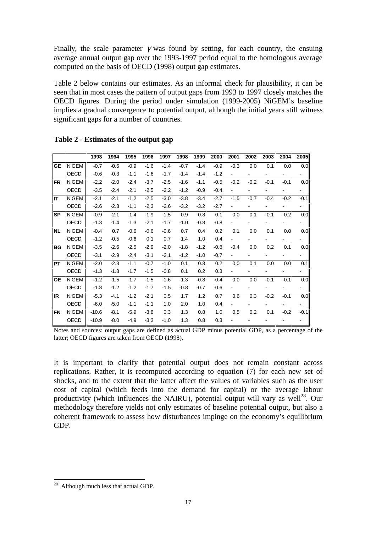Finally, the scale parameter  $\gamma$  was found by setting, for each country, the ensuing average annual output gap over the 1993-1997 period equal to the homologous average computed on the basis of OECD (1998) output gap estimates.

Table 2 below contains our estimates. As an informal check for plausibility, it can be seen that in most cases the pattern of output gaps from 1993 to 1997 closely matches the OECD figures. During the period under simulation (1999-2005) NiGEM's baseline implies a gradual convergence to potential output, although the initial years still witness significant gaps for a number of countries.

|             |              | 1993    | 1994   | 1995   | 1996   | 1997   | 1998   | 1999   | 2000   | 2001                     | 2002   | 2003   | 2004   | 2005                     |
|-------------|--------------|---------|--------|--------|--------|--------|--------|--------|--------|--------------------------|--------|--------|--------|--------------------------|
| GE          | <b>NiGEM</b> | $-0.7$  | $-0.6$ | $-0.9$ | $-1.6$ | $-1.4$ | $-0.7$ | $-1.4$ | $-0.9$ | $-0.3$                   | 0.0    | 0.1    | 0.0    | 0.0                      |
|             | <b>OECD</b>  | $-0.6$  | $-0.3$ | $-1.1$ | $-1.6$ | $-1.7$ | $-1.4$ | $-1.4$ | $-1.2$ |                          |        |        |        |                          |
| <b>FR</b>   | <b>NiGEM</b> | $-2.2$  | $-2.0$ | $-2.4$ | $-3.7$ | $-2.5$ | $-1.6$ | $-1.1$ | $-0.5$ | $-0.2$                   | $-0.2$ | $-0.1$ | $-0.1$ | 0.0                      |
|             | <b>OECD</b>  | $-3.5$  | $-2.4$ | $-2.1$ | $-2.5$ | $-2.2$ | $-1.2$ | $-0.9$ | $-0.4$ | $\blacksquare$           |        |        |        | $\overline{\phantom{0}}$ |
| Iіт         | <b>NiGEM</b> | $-2.1$  | $-2.1$ | $-1.2$ | $-2.5$ | $-3.0$ | $-3.8$ | $-3.4$ | $-2.7$ | $-1.5$                   | $-0.7$ | $-0.4$ | $-0.2$ | $-0.1$                   |
|             | OECD         | $-2.6$  | $-2.3$ | $-1.1$ | $-2.3$ | $-2.6$ | $-3.2$ | $-3.2$ | $-2.7$ |                          |        |        |        |                          |
| <b>SP</b>   | <b>NiGEM</b> | $-0.9$  | $-2.1$ | $-1.4$ | $-1.9$ | $-1.5$ | $-0.9$ | $-0.8$ | $-0.1$ | 0.0                      | 0.1    | $-0.1$ | $-0.2$ | 0.0                      |
|             | <b>OECD</b>  | $-1.3$  | $-1.4$ | $-1.3$ | $-2.1$ | $-1.7$ | $-1.0$ | $-0.8$ | $-0.8$ |                          |        |        |        | -                        |
| <b>NL</b>   | <b>NiGEM</b> | $-0.4$  | 0.7    | $-0.6$ | $-0.6$ | $-0.6$ | 0.7    | 0.4    | 0.2    | 0.1                      | 0.0    | 0.1    | 0.0    | 0.0                      |
|             | OECD         | $-1.2$  | $-0.5$ | $-0.6$ | 0.1    | 0.7    | 1.4    | 1.0    | 0.4    |                          |        |        |        |                          |
| BG          | <b>NiGEM</b> | $-3.5$  | $-2.6$ | $-2.5$ | $-2.9$ | $-2.0$ | $-1.8$ | $-1.2$ | $-0.8$ | $-0.4$                   | 0.0    | 0.2    | 0.1    | 0.0                      |
|             | <b>OECD</b>  | $-3.1$  | $-2.9$ | $-2.4$ | $-3.1$ | $-2.1$ | $-1.2$ | $-1.0$ | $-0.7$ | $\overline{\phantom{a}}$ |        |        |        |                          |
| lPT.        | <b>NiGEM</b> | $-2.0$  | $-2.3$ | $-1.1$ | $-0.7$ | $-1.0$ | 0.1    | 0.3    | 0.2    | 0.0                      | 0.1    | 0.0    | 0.0    | 0.1                      |
|             | OECD         | $-1.3$  | $-1.8$ | $-1.7$ | $-1.5$ | $-0.8$ | 0.1    | 0.2    | 0.3    |                          |        |        |        |                          |
| ЮE          | <b>NiGEM</b> | $-1.2$  | $-1.5$ | $-1.7$ | $-1.5$ | $-1.6$ | $-1.3$ | $-0.8$ | $-0.4$ | 0.0                      | 0.0    | $-0.1$ | $-0.1$ | 0.0                      |
|             | <b>OECD</b>  | $-1.8$  | $-1.2$ | $-1.2$ | $-1.7$ | $-1.5$ | $-0.8$ | $-0.7$ | $-0.6$ |                          |        |        |        |                          |
| <b>I</b> IR | <b>NiGEM</b> | $-5.3$  | $-4.1$ | $-1.2$ | $-2.1$ | 0.5    | 1.7    | 1.2    | 0.7    | 0.6                      | 0.3    | $-0.2$ | $-0.1$ | 0.0                      |
|             | OECD         | $-6.0$  | $-5.0$ | $-1.1$ | $-1.1$ | 1.0    | 2.0    | 1.0    | 0.4    |                          |        |        |        |                          |
| <b>FN</b>   | <b>NiGEM</b> | $-10.6$ | $-8.1$ | $-5.9$ | $-3.8$ | 0.3    | 1.3    | 0.8    | 1.0    | 0.5                      | 0.2    | 0.1    | $-0.2$ | $-0.1$                   |
|             | OECD         | $-10.9$ | $-8.0$ | $-4.9$ | $-3.3$ | $-1.0$ | 1.3    | 0.8    | 0.3    |                          |        |        |        |                          |

**Table 2 - Estimates of the output gap**

Notes and sources: output gaps are defined as actual GDP minus potential GDP, as a percentage of the latter; OECD figures are taken from OECD (1998).

It is important to clarify that potential output does not remain constant across replications. Rather, it is recomputed according to equation (7) for each new set of shocks, and to the extent that the latter affect the values of variables such as the user cost of capital (which feeds into the demand for capital) or the average labour productivity (which influences the NAIRU), potential output will vary as well<sup>28</sup>. Our methodology therefore yields not only estimates of baseline potential output, but also a coherent framework to assess how disturbances impinge on the economy's equilibrium GDP.

 $^{28}$  Although much less that actual GDP.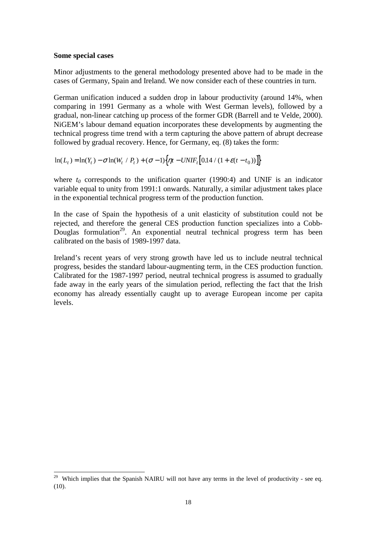#### **Some special cases**

 $\overline{a}$ 

Minor adjustments to the general methodology presented above had to be made in the cases of Germany, Spain and Ireland. We now consider each of these countries in turn.

German unification induced a sudden drop in labour productivity (around 14%, when comparing in 1991 Germany as a whole with West German levels), followed by a gradual, non-linear catching up process of the former GDR (Barrell and te Velde, 2000). NiGEM's labour demand equation incorporates these developments by augmenting the technical progress time trend with a term capturing the above pattern of abrupt decrease followed by gradual recovery. Hence, for Germany, eq. (8) takes the form:

 $\ln(L_t) = \ln(Y_t) - \sigma \ln(W_t / P_t) + (\sigma - 1) \left\{ \eta_t - UNIF_t [0.14 / (1 + \varepsilon (t - t_0))] \right\}$ 

where  $t_0$  corresponds to the unification quarter (1990:4) and UNIF is an indicator variable equal to unity from 1991:1 onwards. Naturally, a similar adjustment takes place in the exponential technical progress term of the production function.

In the case of Spain the hypothesis of a unit elasticity of substitution could not be rejected, and therefore the general CES production function specializes into a Cobb-Douglas formulation<sup>29</sup>. An exponential neutral technical progress term has been calibrated on the basis of 1989-1997 data.

Ireland's recent years of very strong growth have led us to include neutral technical progress, besides the standard labour-augmenting term, in the CES production function. Calibrated for the 1987-1997 period, neutral technical progress is assumed to gradually fade away in the early years of the simulation period, reflecting the fact that the Irish economy has already essentially caught up to average European income per capita levels.

<sup>&</sup>lt;sup>29</sup> Which implies that the Spanish NAIRU will not have any terms in the level of productivity - see eq. (10).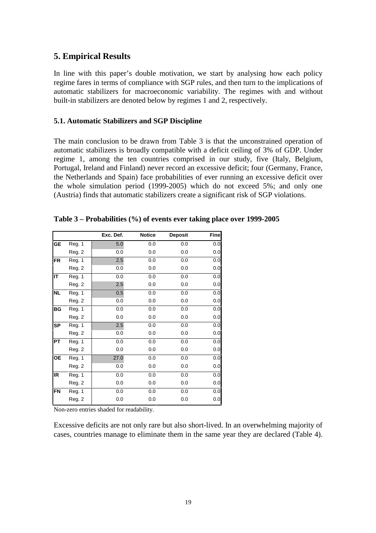## **5. Empirical Results**

In line with this paper's double motivation, we start by analysing how each policy regime fares in terms of compliance with SGP rules, and then turn to the implications of automatic stabilizers for macroeconomic variability. The regimes with and without built-in stabilizers are denoted below by regimes 1 and 2, respectively.

### **5.1. Automatic Stabilizers and SGP Discipline**

The main conclusion to be drawn from Table 3 is that the unconstrained operation of automatic stabilizers is broadly compatible with a deficit ceiling of 3% of GDP. Under regime 1, among the ten countries comprised in our study, five (Italy, Belgium, Portugal, Ireland and Finland) never record an excessive deficit; four (Germany, France, the Netherlands and Spain) face probabilities of ever running an excessive deficit over the whole simulation period (1999-2005) which do not exceed 5%; and only one (Austria) finds that automatic stabilizers create a significant risk of SGP violations.

|        | Exc. Def. | <b>Notice</b> | <b>Deposit</b> | <b>Fine</b> |
|--------|-----------|---------------|----------------|-------------|
| Reg. 1 | 5.0       | 0.0           | 0.0            | 0.0         |
| Reg. 2 | 0.0       | 0.0           | 0.0            | 0.0         |
| Reg. 1 | 2.5       | 0.0           | 0.0            | 0.0         |
| Reg. 2 | 0.0       | 0.0           | 0.0            | 0.0         |
| Reg. 1 | 0.0       | 0.0           | 0.0            | 0.0         |
| Reg. 2 | 2.5       | 0.0           | 0.0            | 0.0         |
| Reg. 1 | 0.5       | 0.0           | 0.0            | 0.0         |
| Reg. 2 | 0.0       | 0.0           | 0.0            | 0.0         |
| Reg. 1 | 0.0       | 0.0           | 0.0            | 0.0         |
| Reg. 2 | 0.0       | 0.0           | 0.0            | 0.0         |
| Reg. 1 | 2.5       | 0.0           | 0.0            | 0.0         |
| Reg. 2 | 0.0       | 0.0           | 0.0            | 0.0         |
| Reg. 1 | 0.0       | 0.0           | 0.0            | 0.0         |
| Reg. 2 | 0.0       | 0.0           | 0.0            | 0.0         |
| Reg. 1 | 27.0      | 0.0           | 0.0            | 0.0         |
| Reg. 2 | 0.0       | 0.0           | 0.0            | 0.0         |
| Reg. 1 | 0.0       | 0.0           | 0.0            | 0.0         |
| Reg. 2 | 0.0       | 0.0           | 0.0            | 0.0         |
| Reg. 1 | 0.0       | 0.0           | 0.0            | 0.0         |
| Reg. 2 | 0.0       | 0.0           | 0.0            | 0.0         |
|        |           |               |                |             |

**Table 3 – Probabilities (%) of events ever taking place over 1999-2005**

Non-zero entries shaded for readability.

Excessive deficits are not only rare but also short-lived. In an overwhelming majority of cases, countries manage to eliminate them in the same year they are declared (Table 4).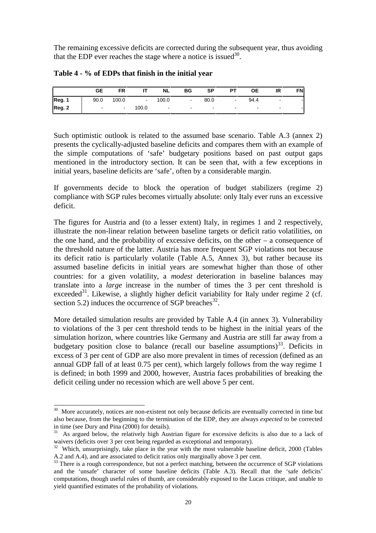The remaining excessive deficits are corrected during the subsequent year, thus avoiding that the EDP ever reaches the stage where a notice is issued<sup>30</sup>.

|        | <b>GE</b> | FR         |        | <b>NL</b> | BG                       | <b>SP</b>      | <b>PT</b>                | ОE     | ΙR     | <b>FN</b> |
|--------|-----------|------------|--------|-----------|--------------------------|----------------|--------------------------|--------|--------|-----------|
| Reg. 1 | 90.0      | 100.0      | $\sim$ | 100.0     | $\overline{\phantom{a}}$ | 80.0           | $\blacksquare$           | 94.4   | $\sim$ |           |
| Reg. 2 | $\sim$    | $\sim$ $-$ | 100.0  | $\sim$    | $\blacksquare$           | $\blacksquare$ | $\overline{\phantom{a}}$ | $\sim$ | $\sim$ |           |

**Table 4 - % of EDPs that finish in the initial year**

Such optimistic outlook is related to the assumed base scenario. Table A.3 (annex 2) presents the cyclically-adjusted baseline deficits and compares them with an example of the simple computations of 'safe' budgetary positions based on past output gaps mentioned in the introductory section. It can be seen that, with a few exceptions in initial years, baseline deficits are 'safe', often by a considerable margin.

If governments decide to block the operation of budget stabilizers (regime 2) compliance with SGP rules becomes virtually absolute: only Italy ever runs an excessive deficit.

The figures for Austria and (to a lesser extent) Italy, in regimes 1 and 2 respectively, illustrate the non-linear relation between baseline targets or deficit ratio volatilities, on the one hand, and the probability of excessive deficits, on the other – a consequence of the threshold nature of the latter. Austria has more frequent SGP violations not because its deficit ratio is particularly volatile (Table A.5, Annex 3), but rather because its assumed baseline deficits in initial years are somewhat higher than those of other countries: for a given volatility, a *modest* deterioration in baseline balances may translate into a *large* increase in the number of times the 3 per cent threshold is exceeded<sup>31</sup>. Likewise, a slightly higher deficit variability for Italy under regime 2 (cf. section 5.2) induces the occurrence of SGP breaches<sup>32</sup>.

More detailed simulation results are provided by Table A.4 (in annex 3). Vulnerability to violations of the 3 per cent threshold tends to be highest in the initial years of the simulation horizon, where countries like Germany and Austria are still far away from a budgetary position close to balance (recall our baseline assumptions)<sup>33</sup>. Deficits in excess of 3 per cent of GDP are also more prevalent in times of recession (defined as an annual GDP fall of at least 0.75 per cent), which largely follows from the way regime 1 is defined; in both 1999 and 2000, however, Austria faces probabilities of breaking the deficit ceiling under no recession which are well above 5 per cent.

 $\overline{a}$  $30$  More accurately, notices are non-existent not only because deficits are eventually corrected in time but also because, from the beginning to the termination of the EDP, they are always *expected* to be corrected in time (see Dury and Pina (2000) for details).

<sup>&</sup>lt;sup>31</sup> As argued below, the relatively high Austrian figure for excessive deficits is also due to a lack of waivers (deficits over 3 per cent being regarded as exceptional and temporary).

<sup>&</sup>lt;sup>32</sup> Which, unsurprisingly, take place in the year with the most vulnerable baseline deficit, 2000 (Tables A.2 and A.4), and are associated to deficit ratios only marginally above 3 per cent.

<sup>&</sup>lt;sup>33</sup> There is a rough correspondence, but not a perfect matching, between the occurrence of SGP violations and the 'unsafe' character of some baseline deficits (Table A.3). Recall that the 'safe deficits' computations, though useful rules of thumb, are considerably exposed to the Lucas critique, and unable to yield quantified estimates of the probability of violations.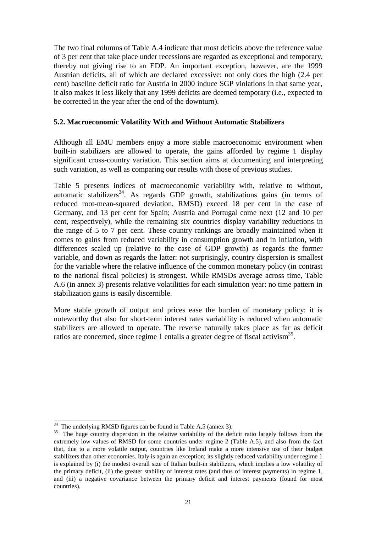The two final columns of Table A.4 indicate that most deficits above the reference value of 3 per cent that take place under recessions are regarded as exceptional and temporary, thereby not giving rise to an EDP. An important exception, however, are the 1999 Austrian deficits, all of which are declared excessive: not only does the high (2.4 per cent) baseline deficit ratio for Austria in 2000 induce SGP violations in that same year, it also makes it less likely that any 1999 deficits are deemed temporary (i.e., expected to be corrected in the year after the end of the downturn).

## **5.2. Macroeconomic Volatility With and Without Automatic Stabilizers**

Although all EMU members enjoy a more stable macroeconomic environment when built-in stabilizers are allowed to operate, the gains afforded by regime 1 display significant cross-country variation. This section aims at documenting and interpreting such variation, as well as comparing our results with those of previous studies.

Table 5 presents indices of macroeconomic variability with, relative to without, automatic stabilizers<sup>34</sup>. As regards GDP growth, stabilizations gains (in terms of reduced root-mean-squared deviation, RMSD) exceed 18 per cent in the case of Germany, and 13 per cent for Spain; Austria and Portugal come next (12 and 10 per cent, respectively), while the remaining six countries display variability reductions in the range of 5 to 7 per cent. These country rankings are broadly maintained when it comes to gains from reduced variability in consumption growth and in inflation, with differences scaled up (relative to the case of GDP growth) as regards the former variable, and down as regards the latter: not surprisingly, country dispersion is smallest for the variable where the relative influence of the common monetary policy (in contrast to the national fiscal policies) is strongest. While RMSDs average across time, Table A.6 (in annex 3) presents relative volatilities for each simulation year: no time pattern in stabilization gains is easily discernible.

More stable growth of output and prices ease the burden of monetary policy: it is noteworthy that also for short-term interest rates variability is reduced when automatic stabilizers are allowed to operate. The reverse naturally takes place as far as deficit ratios are concerned, since regime 1 entails a greater degree of fiscal activism<sup>35</sup>.

j  $34$  The underlying RMSD figures can be found in Table A.5 (annex 3).

<sup>&</sup>lt;sup>35</sup> The huge country dispersion in the relative variability of the deficit ratio largely follows from the extremely low values of RMSD for some countries under regime 2 (Table A.5), and also from the fact that, due to a more volatile output, countries like Ireland make a more intensive use of their budget stabilizers than other economies. Italy is again an exception; its slightly reduced variability under regime 1 is explained by (i) the modest overall size of Italian built-in stabilizers, which implies a low volatility of the primary deficit, (ii) the greater stability of interest rates (and thus of interest payments) in regime 1, and (iii) a negative covariance between the primary deficit and interest payments (found for most countries).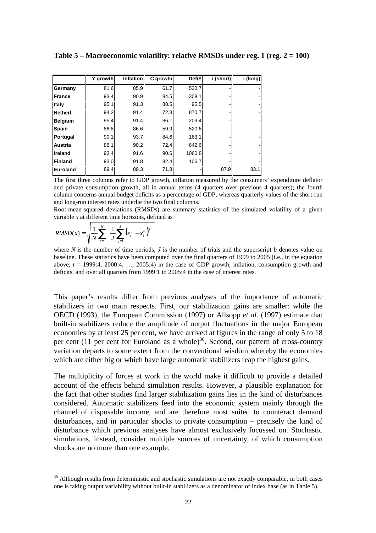|                | Y growth | <b>Inflation</b> | C growth | Def/Y  | i (short) | i (long) |
|----------------|----------|------------------|----------|--------|-----------|----------|
| Germany        | 81.6     | 85.9             | 61.7     | 530.7  |           |          |
| France         | 93.4     | 90.9             | 84.5     | 308.1  |           |          |
| Italy          | 95.1     | 91.3             | 88.5     | 95.5   |           |          |
| Netherl.       | 94.2     | 91.4             | 72.3     | 870.7  |           | -        |
| <b>Belgium</b> | 95.4     | 91.4             | 86.1     | 203.4  |           |          |
| <b>Spain</b>   | 86.8     | 86.6             | 59.9     | 520.6  |           |          |
| Portugal       | 90.1     | 93.7             | 84.6     | 163.1  |           |          |
| <b>Austria</b> | 88.1     | 90.2             | 72.4     | 642.6  |           |          |
| <b>Ireland</b> | 93.4     | 91.6             | 90.6     | 1060.8 |           |          |
| Finland        | 93.0     | 91.8             | 82.4     | 106.7  |           |          |
| Euroland       | 89.4     | 89.3             | 71.8     |        | 87.9      | 83.1     |

**Table 5 – Macroeconomic volatility: relative RMSDs under reg. 1 (reg. 2 = 100)**

The first three columns refer to GDP growth, inflation measured by the consumers' expenditure deflator and private consumption growth, all in annual terms (4 quarters over previous 4 quarters); the fourth column concerns annual budget deficits as a percentage of GDP, whereas quarterly values of the short-run and long-run interest rates underlie the two final columns.

Root-mean-squared deviations (RMSDs) are summary statistics of the simulated volatility of a given variable *x* at different time horizons, defined as

$$
RMSD(x) = \sqrt{\frac{1}{N} \sum_{t=1}^{N} \left\{ \frac{1}{J} \sum_{j=1}^{J} \left( x_t^{j} - x_t^{b} \right)^2 \right\}}
$$

 $\overline{a}$ 

where *N* is the number of time periods, *J* is the number of trials and the superscript *b* denotes value on baseline. These statistics have been computed over the final quarters of 1999 to 2005 (i.e., in the equation above, *t* = 1999:4, 2000:4, …, 2005:4) in the case of GDP growth, inflation, consumption growth and deficits, and over all quarters from 1999:1 to 2005:4 in the case of interest rates.

This paper's results differ from previous analyses of the importance of automatic stabilizers in two main respects. First, our stabilization gains are smaller: while the OECD (1993), the European Commission (1997) or Allsopp *et al.* (1997) estimate that built-in stabilizers reduce the amplitude of output fluctuations in the major European economies by at least 25 per cent, we have arrived at figures in the range of only 5 to 18 per cent (11 per cent for Euroland as a whole)<sup>36</sup>. Second, our pattern of cross-country variation departs to some extent from the conventional wisdom whereby the economies which are either big or which have large automatic stabilizers reap the highest gains.

The multiplicity of forces at work in the world make it difficult to provide a detailed account of the effects behind simulation results. However, a plausible explanation for the fact that other studies find larger stabilization gains lies in the kind of disturbances considered. Automatic stabilizers feed into the economic system mainly through the channel of disposable income, and are therefore most suited to counteract demand disturbances, and in particular shocks to private consumption – precisely the kind of disturbance which previous analyses have almost exclusively focussed on. Stochastic simulations, instead, consider multiple sources of uncertainty, of which consumption shocks are no more than one example.

<sup>&</sup>lt;sup>36</sup> Although results from deterministic and stochastic simulations are not exactly comparable, in both cases one is taking output variability without built-in stabilizers as a denominator or index base (as in Table 5).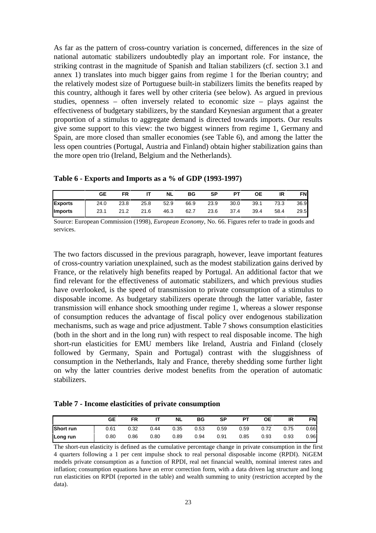As far as the pattern of cross-country variation is concerned, differences in the size of national automatic stabilizers undoubtedly play an important role. For instance, the striking contrast in the magnitude of Spanish and Italian stabilizers (cf. section 3.1 and annex 1) translates into much bigger gains from regime 1 for the Iberian country; and the relatively modest size of Portuguese built-in stabilizers limits the benefits reaped by this country, although it fares well by other criteria (see below). As argued in previous studies, openness – often inversely related to economic size – plays against the effectiveness of budgetary stabilizers, by the standard Keynesian argument that a greater proportion of a stimulus to aggregate demand is directed towards imports. Our results give some support to this view: the two biggest winners from regime 1, Germany and Spain, are more closed than smaller economies (see Table 6), and among the latter the less open countries (Portugal, Austria and Finland) obtain higher stabilization gains than the more open trio (Ireland, Belgium and the Netherlands).

|  | Table 6 - Exports and Imports as a % of GDP (1993-1997) |  |
|--|---------------------------------------------------------|--|
|  |                                                         |  |

|                | GЕ   | FR   |      | NL   | ΒG   | SP   | РT   | ОE   | ΙR   | <b>FNI</b> |
|----------------|------|------|------|------|------|------|------|------|------|------------|
| <b>Exports</b> | 24.0 | 23.8 | 25.8 | 52.9 | 66.9 | 23.9 | 30.0 | 39.1 | 73.3 | 36.9       |
| Imports        | 23.1 | 21.2 | 21.6 | 46.3 | 62.7 | 23.6 | 37.4 | 39.4 | 58.4 | 29.5       |

Source: European Commission (1998), *European Economy*, No. 66. Figures refer to trade in goods and services.

The two factors discussed in the previous paragraph, however, leave important features of cross-country variation unexplained, such as the modest stabilization gains derived by France, or the relatively high benefits reaped by Portugal. An additional factor that we find relevant for the effectiveness of automatic stabilizers, and which previous studies have overlooked, is the speed of transmission to private consumption of a stimulus to disposable income. As budgetary stabilizers operate through the latter variable, faster transmission will enhance shock smoothing under regime 1, whereas a slower response of consumption reduces the advantage of fiscal policy over endogenous stabilization mechanisms, such as wage and price adjustment. Table 7 shows consumption elasticities (both in the short and in the long run) with respect to real disposable income. The high short-run elasticities for EMU members like Ireland, Austria and Finland (closely followed by Germany, Spain and Portugal) contrast with the sluggishness of consumption in the Netherlands, Italy and France, thereby shedding some further light on why the latter countries derive modest benefits from the operation of automatic stabilizers.

|  |  | Table 7 - Income elasticities of private consumption |
|--|--|------------------------------------------------------|
|--|--|------------------------------------------------------|

|           | GE   | FR   |      | <b>NL</b> | ΒG   | SP   | PТ   | OΕ   | ΙR   | FNI  |
|-----------|------|------|------|-----------|------|------|------|------|------|------|
| Short run | 0.61 | 0.32 | 0.44 | 0.35      | 0.53 | 0.59 | 0.59 | 0.72 | 0.75 | 0.66 |
| Long run  | 0.80 | 0.86 | 0.80 | 0.89      | 0.94 | 0.91 | 0.85 | 0.93 | 0.93 | 0.96 |

The short-run elasticity is defined as the cumulative percentage change in private consumption in the first 4 quarters following a 1 per cent impulse shock to real personal disposable income (RPDI). NiGEM models private consumption as a function of RPDI, real net financial wealth, nominal interest rates and inflation; consumption equations have an error correction form, with a data driven lag structure and long run elasticities on RPDI (reported in the table) and wealth summing to unity (restriction accepted by the data).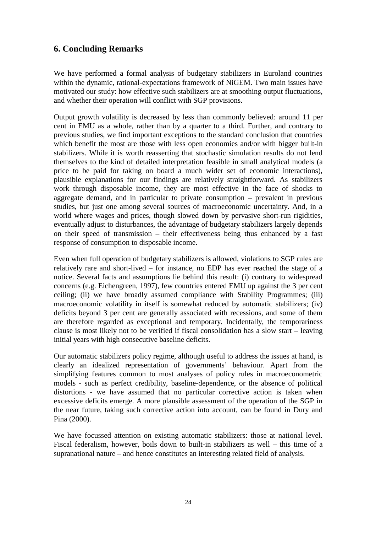## **6. Concluding Remarks**

We have performed a formal analysis of budgetary stabilizers in Euroland countries within the dynamic, rational-expectations framework of NiGEM. Two main issues have motivated our study: how effective such stabilizers are at smoothing output fluctuations, and whether their operation will conflict with SGP provisions.

Output growth volatility is decreased by less than commonly believed: around 11 per cent in EMU as a whole, rather than by a quarter to a third. Further, and contrary to previous studies, we find important exceptions to the standard conclusion that countries which benefit the most are those with less open economies and/or with bigger built-in stabilizers. While it is worth reasserting that stochastic simulation results do not lend themselves to the kind of detailed interpretation feasible in small analytical models (a price to be paid for taking on board a much wider set of economic interactions), plausible explanations for our findings are relatively straightforward. As stabilizers work through disposable income, they are most effective in the face of shocks to aggregate demand, and in particular to private consumption – prevalent in previous studies, but just one among several sources of macroeconomic uncertainty. And, in a world where wages and prices, though slowed down by pervasive short-run rigidities, eventually adjust to disturbances, the advantage of budgetary stabilizers largely depends on their speed of transmission – their effectiveness being thus enhanced by a fast response of consumption to disposable income.

Even when full operation of budgetary stabilizers is allowed, violations to SGP rules are relatively rare and short-lived – for instance, no EDP has ever reached the stage of a notice. Several facts and assumptions lie behind this result: (i) contrary to widespread concerns (e.g. Eichengreen, 1997), few countries entered EMU up against the 3 per cent ceiling; (ii) we have broadly assumed compliance with Stability Programmes; (iii) macroeconomic volatility in itself is somewhat reduced by automatic stabilizers; (iv) deficits beyond 3 per cent are generally associated with recessions, and some of them are therefore regarded as exceptional and temporary. Incidentally, the temporariness clause is most likely not to be verified if fiscal consolidation has a slow start – leaving initial years with high consecutive baseline deficits.

Our automatic stabilizers policy regime, although useful to address the issues at hand, is clearly an idealized representation of governments' behaviour. Apart from the simplifying features common to most analyses of policy rules in macroeconometric models - such as perfect credibility, baseline-dependence, or the absence of political distortions - we have assumed that no particular corrective action is taken when excessive deficits emerge. A more plausible assessment of the operation of the SGP in the near future, taking such corrective action into account, can be found in Dury and Pina (2000).

We have focussed attention on existing automatic stabilizers: those at national level. Fiscal federalism, however, boils down to built-in stabilizers as well – this time of a supranational nature – and hence constitutes an interesting related field of analysis.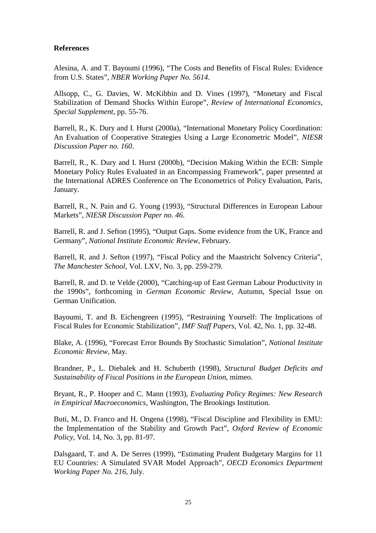### **References**

Alesina, A. and T. Bayoumi (1996), "The Costs and Benefits of Fiscal Rules: Evidence from U.S. States", *NBER Working Paper No. 5614*.

Allsopp, C., G. Davies, W. McKibbin and D. Vines (1997), "Monetary and Fiscal Stabilization of Demand Shocks Within Europe", *Review of International Economics, Special Supplement*, pp. 55-76.

Barrell, R., K. Dury and I. Hurst (2000a), "International Monetary Policy Coordination: An Evaluation of Cooperative Strategies Using a Large Econometric Model", *NIESR Discussion Paper no. 160*.

Barrell, R., K. Dury and I. Hurst (2000b), "Decision Making Within the ECB: Simple Monetary Policy Rules Evaluated in an Encompassing Framework", paper presented at the International ADRES Conference on The Econometrics of Policy Evaluation, Paris, January.

Barrell, R., N. Pain and G. Young (1993), "Structural Differences in European Labour Markets", *NIESR Discussion Paper no. 46*.

Barrell, R. and J. Sefton (1995), "Output Gaps. Some evidence from the UK, France and Germany", *National Institute Economic Review*, February.

Barrell, R. and J. Sefton (1997), "Fiscal Policy and the Maastricht Solvency Criteria", *The Manchester School*, Vol. LXV, No. 3, pp. 259-279.

Barrell, R. and D. te Velde (2000), "Catching-up of East German Labour Productivity in the 1990s", forthcoming in *German Economic Review*, Autumn, Special Issue on German Unification.

Bayoumi, T. and B. Eichengreen (1995), "Restraining Yourself: The Implications of Fiscal Rules for Economic Stabilization", *IMF Staff Papers*, Vol. 42, No. 1, pp. 32-48.

Blake, A. (1996), "Forecast Error Bounds By Stochastic Simulation", *National Institute Economic Review*, May.

Brandner, P., L. Diebalek and H. Schuberth (1998), *Structural Budget Deficits and Sustainability of Fiscal Positions in the European Union*, mimeo.

Bryant, R., P. Hooper and C. Mann (1993), *Evaluating Policy Regimes: New Research in Empirical Macroeconomics*, Washington, The Brookings Institution.

Buti, M., D. Franco and H. Ongena (1998), "Fiscal Discipline and Flexibility in EMU: the Implementation of the Stability and Growth Pact", *Oxford Review of Economic Policy*, Vol. 14, No. 3, pp. 81-97.

Dalsgaard, T. and A. De Serres (1999), "Estimating Prudent Budgetary Margins for 11 EU Countries: A Simulated SVAR Model Approach", *OECD Economics Department Working Paper No. 216*, July.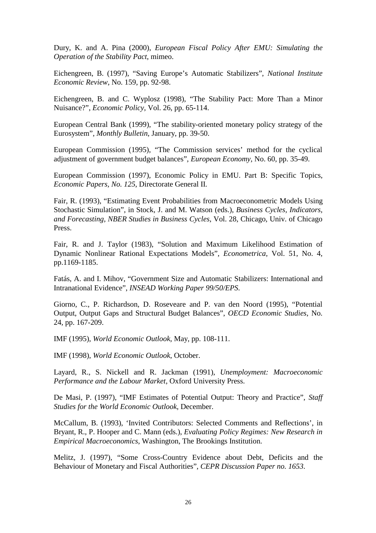Dury, K. and A. Pina (2000), *European Fiscal Policy After EMU: Simulating the Operation of the Stability Pact*, mimeo.

Eichengreen, B. (1997), "Saving Europe's Automatic Stabilizers", *National Institute Economic Review*, No. 159, pp. 92-98.

Eichengreen, B. and C. Wyplosz (1998), "The Stability Pact: More Than a Minor Nuisance?", *Economic Policy*, Vol. 26, pp. 65-114.

European Central Bank (1999), "The stability-oriented monetary policy strategy of the Eurosystem", *Monthly Bulletin*, January, pp. 39-50.

European Commission (1995), "The Commission services' method for the cyclical adjustment of government budget balances", *European Economy*, No. 60, pp. 35-49.

European Commission (1997), Economic Policy in EMU. Part B: Specific Topics, *Economic Papers, No. 125*, Directorate General II.

Fair, R. (1993), "Estimating Event Probabilities from Macroeconometric Models Using Stochastic Simulation", in Stock, J. and M. Watson (eds.), *Business Cycles, Indicators, and Forecasting, NBER Studies in Business Cycles*, Vol. 28, Chicago, Univ. of Chicago Press.

Fair, R. and J. Taylor (1983), "Solution and Maximum Likelihood Estimation of Dynamic Nonlinear Rational Expectations Models", *Econometrica*, Vol. 51, No. 4, pp.1169-1185.

Fatás, A. and I. Mihov, "Government Size and Automatic Stabilizers: International and Intranational Evidence", *INSEAD Working Paper 99/50/EPS*.

Giorno, C., P. Richardson, D. Roseveare and P. van den Noord (1995), "Potential Output, Output Gaps and Structural Budget Balances", *OECD Economic Studies*, No. 24, pp. 167-209.

IMF (1995), *World Economic Outlook*, May, pp. 108-111.

IMF (1998), *World Economic Outlook*, October.

Layard, R., S. Nickell and R. Jackman (1991), *Unemployment: Macroeconomic Performance and the Labour Market*, Oxford University Press.

De Masi, P. (1997), "IMF Estimates of Potential Output: Theory and Practice", *Staff Studies for the World Economic Outlook*, December.

McCallum, B. (1993), 'Invited Contributors: Selected Comments and Reflections', in Bryant, R., P. Hooper and C. Mann (eds.), *Evaluating Policy Regimes: New Research in Empirical Macroeconomics*, Washington, The Brookings Institution.

Melitz, J. (1997), "Some Cross-Country Evidence about Debt, Deficits and the Behaviour of Monetary and Fiscal Authorities", *CEPR Discussion Paper no. 1653*.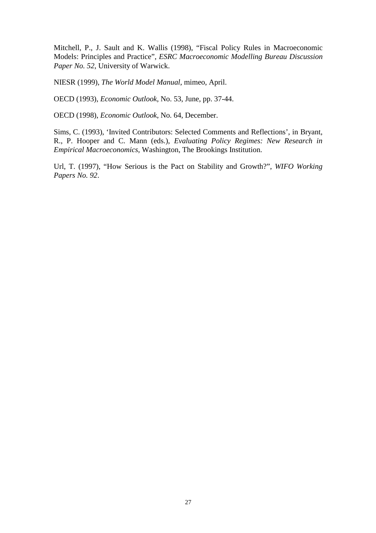Mitchell, P., J. Sault and K. Wallis (1998), "Fiscal Policy Rules in Macroeconomic Models: Principles and Practice", *ESRC Macroeconomic Modelling Bureau Discussion Paper No. 52*, University of Warwick.

NIESR (1999), *The World Model Manual*, mimeo, April.

OECD (1993), *Economic Outlook*, No. 53, June, pp. 37-44.

OECD (1998), *Economic Outlook*, No. 64, December.

Sims, C. (1993), 'Invited Contributors: Selected Comments and Reflections', in Bryant, R., P. Hooper and C. Mann (eds.), *Evaluating Policy Regimes: New Research in Empirical Macroeconomics*, Washington, The Brookings Institution.

Url, T. (1997), "How Serious is the Pact on Stability and Growth?", *WIFO Working Papers No. 92*.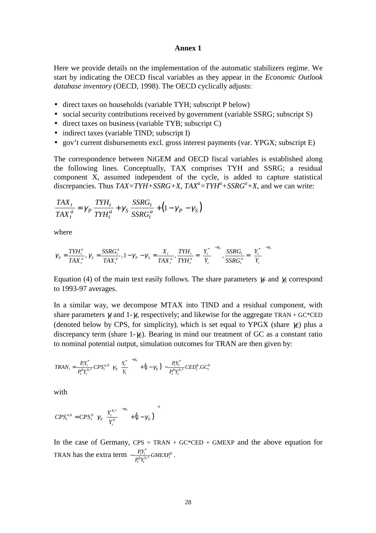#### **Annex 1**

Here we provide details on the implementation of the automatic stabilizers regime. We start by indicating the OECD fiscal variables as they appear in the *Economic Outlook database inventory* (OECD, 1998). The OECD cyclically adjusts:

- direct taxes on households (variable TYH; subscript P below)
- social security contributions received by government (variable SSRG; subscript S)
- direct taxes on business (variable TYB; subscript C)
- indirect taxes (variable TIND; subscript I)
- gov't current disbursements excl. gross interest payments (var. YPGX; subscript E)

The correspondence between NiGEM and OECD fiscal variables is established along the following lines. Conceptually, TAX comprises TYH and SSRG; a residual component X, assumed independent of the cycle, is added to capture statistical discrepancies. Thus  $TAX = TYH + SSRG + X$ ,  $TAX^a = TYH^a + SSRG^a + X$ , and we can write:

$$
\frac{TAX_t}{TAX_t^a} = \gamma_P \frac{TYH_t}{TYH_t^a} + \gamma_S \frac{SSRG_t}{SSRG_t^a} + (1 - \gamma_P - \gamma_S)
$$

where

$$
\gamma_P = \frac{TYH_t^a}{TAX_t^a}, \gamma_S = \frac{SSRG_t^a}{TAX_t^a}, 1 - \gamma_P - \gamma_S = \frac{X_t}{TAX_t^a}, \frac{TYH_t}{TYH_t^a} = \left(\frac{Y_t^*}{Y_t}\right)^{-\alpha_P}, \frac{SSRG_t}{SSRG_t^a} = \left(\frac{Y_t^*}{Y_t}\right)^{-\alpha_S}
$$

Equation (4) of the main text easily follows. The share parameters *γ*<sub>*P*</sub> and *γ*<sub>*S*</sub> correspond to 1993-97 averages.

In a similar way, we decompose MTAX into TIND and a residual component, with share parameters  $\gamma$  and 1- $\gamma$ , respectively; and likewise for the aggregate TRAN + GC<sup>\*</sup>CED (denoted below by CPS, for simplicity), which is set equal to YPGX (share  $\gamma_E$ ) plus a discrepancy term (share 1-γ*E*). Bearing in mind our treatment of GC as a constant ratio to nominal potential output, simulation outcomes for TRAN are then given by:

$$
TRAN_t = \frac{P_t Y_t^*}{P_t^b Y_t^{b,*}} C P S_t^{a,b} \left[ \gamma_E \left( \frac{Y_t^*}{Y_t} \right)^{-\alpha_E} + (1 - \gamma_E) \right] - \frac{P_t Y_t^*}{P_t^b Y_t^{b,*}} C E D_t^b . G C_t^b
$$

with

$$
CPS_t^{a,b} = CPS_t^b \left[ \gamma_E \left( \frac{Y_t^{b,*}}{Y_t^b} \right)^{-\alpha_E} + (1 - \gamma_E) \right]^{-1}
$$

In the case of Germany,  $CPS = TRAN + GC^*CED + GMEXP$  and the above equation for TRAN has the extra term  $-\frac{P_t I_t}{P_t^b Y_t^{b,*}} GMEXP_t^b$  $\frac{I_t I_t}{P_t^b Y_t^{b,*}}$ GMEXP<sub>t</sub> *PY* ,\*  $-\frac{P_t Y_t^*}{R_{t}^2} GMEXP_t^b$ .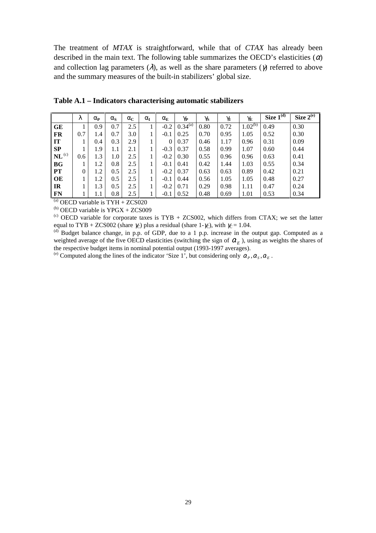The treatment of *MTAX* is straightforward, while that of *CTAX* has already been described in the main text. The following table summarizes the OECD's elasticities  $(\alpha)$ and collection lag parameters ( $\lambda$ ), as well as the share parameters ( $\gamma$ ) referred to above and the summary measures of the built-in stabilizers' global size.

|                     | λ   | $\alpha_{\rm P}$ | $\alpha_{\rm S}$ | $\alpha_{\rm C}$ | $\alpha_{I}$ | $\alpha_{\rm E}$ | $\gamma_{\bf P}$ | $\gamma_{\rm S}$ | $\gamma_{\rm I}$ | $\gamma_{\rm E}$ | Size $1^{(d)}$ | Size $2^{(e)}$ |
|---------------------|-----|------------------|------------------|------------------|--------------|------------------|------------------|------------------|------------------|------------------|----------------|----------------|
| <b>GE</b>           |     | 0.9              | 0.7              | 2.5              |              | $-0.2$           | $0.34^{(a)}$     | 0.80             | 0.72             | $1.02^{(b)}$     | 0.49           | 0.30           |
| FR                  | 0.7 | 1.4              | 0.7              | 3.0              |              | $-0.1$           | 0.25             | 0.70             | 0.95             | 1.05             | 0.52           | 0.30           |
| IT                  |     | 0.4              | 0.3              | 2.9              |              | $\Omega$         | 0.37             | 0.46             | 1.17             | 0.96             | 0.31           | 0.09           |
| SP                  |     | 1.9              | 1.1              | 2.1              |              | $-0.3$           | 0.37             | 0.58             | 0.99             | 1.07             | 0.60           | 0.44           |
| $\mathbf{NL}^{(c)}$ | 0.6 | 1.3              | 1.0              | 2.5              |              | $-0.2$           | 0.30             | 0.55             | 0.96             | 0.96             | 0.63           | 0.41           |
| <b>BG</b>           |     | 1.2              | 0.8              | 2.5              |              | $-0.1$           | 0.41             | 0.42             | 1.44             | 1.03             | 0.55           | 0.34           |
| <b>PT</b>           | 0   | 1.2              | 0.5              | 2.5              |              | $-0.2$           | 0.37             | 0.63             | 0.63             | 0.89             | 0.42           | 0.21           |
| OE                  |     | 1.2              | 0.5              | 2.5              |              | $-0.1$           | 0.44             | 0.56             | 1.05             | 1.05             | 0.48           | 0.27           |
| IR                  |     | 1.3              | 0.5              | 2.5              |              | $-0.2$           | 0.71             | 0.29             | 0.98             | 1.11             | 0.47           | 0.24           |
| <b>FN</b>           |     | 1.1              | 0.8              | 2.5              |              | $-0.1$           | 0.52             | 0.48             | 0.69             | 1.01             | 0.53           | 0.34           |

**Table A.1 – Indicators characterising automatic stabilizers**

 $^{(a)}$  OECD variable is TYH + ZCS020

 $(b)$  OECD variable is YPGX + ZCS009

(c) OECD variable for corporate taxes is TYB + ZCS002, which differs from CTAX; we set the latter equal to TYB + ZCS002 (share  $\chi$ ) plus a residual (share 1- $\chi$ ), with  $\chi$  = 1.04.

(d) Budget balance change, in p.p. of GDP, due to a 1 p.p. increase in the output gap. Computed as a weighted average of the five OECD elasticities (switching the sign of  $\alpha_E$ ), using as weights the shares of the respective budget items in nominal potential output (1993-1997 averages).

<sup>(e)</sup> Computed along the lines of the indicator 'Size 1', but considering only  $\alpha_p, \alpha_s, \alpha_F$ .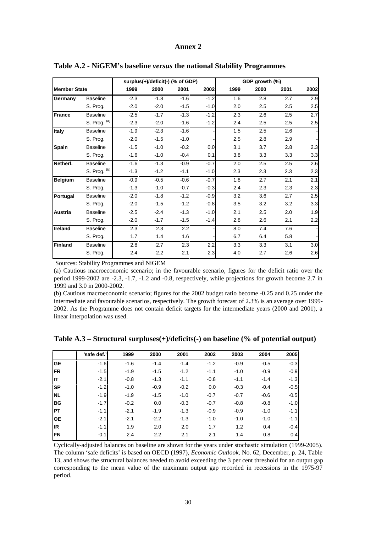#### **Annex 2**

| <b>Member State</b> | 1999   | 2000   | 2001   | 2002   | 1999                             | 2000 | 2001 | 2002           |
|---------------------|--------|--------|--------|--------|----------------------------------|------|------|----------------|
| <b>Baseline</b>     | $-2.3$ | $-1.8$ | $-1.6$ | $-1.2$ | 1.6                              | 2.8  | 2.7  | 2.9            |
| S. Prog.            | $-2.0$ | $-2.0$ | $-1.5$ | $-1.0$ | 2.0                              | 2.5  | 2.5  | 2.5            |
| <b>Baseline</b>     | $-2.5$ | $-1.7$ | $-1.3$ | $-1.2$ | 2.3                              | 2.6  | 2.5  | 2.7            |
| S. Prog. (a)        | $-2.3$ | $-2.0$ | $-1.6$ | $-1.2$ | 2.4                              | 2.5  | 2.5  | 2.5            |
| <b>Baseline</b>     | $-1.9$ | $-2.3$ | $-1.6$ |        | 1.5                              | 2.5  | 2.6  |                |
| S. Prog.            | $-2.0$ | $-1.5$ | $-1.0$ |        | 2.5                              | 2.8  | 2.9  |                |
| <b>Baseline</b>     | $-1.5$ | $-1.0$ | $-0.2$ | 0.0    | 3.1                              | 3.7  | 2.8  | 2.3            |
| S. Prog.            | $-1.6$ | $-1.0$ | $-0.4$ | 0.1    | 3.8                              | 3.3  | 3.3  | 3.3            |
| <b>Baseline</b>     | $-1.6$ | $-1.3$ | $-0.9$ | $-0.7$ | 2.0                              | 2.5  | 2.5  | 2.6            |
| S. Prog. (b)        | $-1.3$ | $-1.2$ | $-1.1$ | $-1.0$ | 2.3                              | 2.3  | 2.3  | 2.3            |
| <b>Baseline</b>     | $-0.9$ | $-0.5$ | $-0.6$ | $-0.7$ | 1.8                              | 2.7  | 2.1  | 2.1            |
| S. Prog.            | $-1.3$ | $-1.0$ | $-0.7$ | $-0.3$ | 2.4                              | 2.3  | 2.3  | 2.3            |
| <b>Baseline</b>     | $-2.0$ | $-1.8$ | $-1.2$ | $-0.9$ | 3.2                              | 3.6  | 2.7  | 2.5            |
| S. Prog.            | $-2.0$ | $-1.5$ | $-1.2$ | $-0.8$ | 3.5                              | 3.2  | 3.2  | 3.3            |
| <b>Baseline</b>     | $-2.5$ | $-2.4$ | $-1.3$ | $-1.0$ | 2.1                              | 2.5  | 2.0  | 1.9            |
| S. Prog.            | $-2.0$ | $-1.7$ | $-1.5$ | $-1.4$ | 2.8                              | 2.6  | 2.1  | 2.2            |
| <b>Baseline</b>     | 2.3    | 2.3    | 2.2    |        | 8.0                              | 7.4  | 7.6  |                |
| S. Prog.            | 1.7    | 1.4    | 1.6    |        | 6.7                              | 6.4  | 5.8  |                |
| <b>Baseline</b>     | 2.8    | 2.7    | 2.3    | 2.2    | 3.3                              | 3.3  | 3.1  | 3.0            |
| S. Prog.            | 2.4    | 2.2    | 2.1    | 2.3    | 4.0                              | 2.7  | 2.6  | 2.6            |
|                     |        |        |        |        | surplus(+)/deficit(-) (% of GDP) |      |      | GDP growth (%) |

**Table A.2 - NiGEM's baseline** *versus* **the national Stability Programmes**

Sources: Stability Programmes and NiGEM

(a) Cautious macroeconomic scenario; in the favourable scenario, figures for the deficit ratio over the period 1999-2002 are -2.3, -1.7, -1.2 and -0.8, respectively, while projections for growth become 2.7 in 1999 and 3.0 in 2000-2002.

(b) Cautious macroeconomic scenario; figures for the 2002 budget ratio become -0.25 and 0.25 under the intermediate and favourable scenarios, respectively. The growth forecast of 2.3% is an average over 1999- 2002. As the Programme does not contain deficit targets for the intermediate years (2000 and 2001), a linear interpolation was used.

|            | 'safe def.' | 1999   | 2000   | 2001   | 2002   | 2003   | 2004   | 2005   |
|------------|-------------|--------|--------|--------|--------|--------|--------|--------|
| <b>GE</b>  | $-1.6$      | $-1.6$ | $-1.4$ | $-1.4$ | $-1.2$ | $-0.9$ | $-0.5$ | $-0.3$ |
| <b>IFR</b> | $-1.5$      | $-1.9$ | $-1.5$ | $-1.2$ | $-1.1$ | $-1.0$ | $-0.9$ | $-0.9$ |
| lіт        | $-2.1$      | $-0.8$ | $-1.3$ | $-1.1$ | $-0.8$ | $-1.1$ | $-1.4$ | $-1.3$ |
| <b>SP</b>  | $-1.2$      | $-1.0$ | $-0.9$ | $-0.2$ | 0.0    | $-0.3$ | $-0.4$ | $-0.5$ |
| <b>NL</b>  | $-1.9$      | $-1.9$ | $-1.5$ | $-1.0$ | $-0.7$ | $-0.7$ | $-0.6$ | $-0.5$ |
| <b>BG</b>  | $-1.7$      | $-0.2$ | 0.0    | $-0.3$ | $-0.7$ | $-0.8$ | $-0.8$ | $-1.0$ |
| Ірт        | $-1.1$      | $-2.1$ | $-1.9$ | $-1.3$ | $-0.9$ | $-0.9$ | $-1.0$ | $-1.1$ |
| <b>OE</b>  | $-2.1$      | $-2.1$ | $-2.2$ | $-1.3$ | $-1.0$ | $-1.0$ | $-1.0$ | $-1.1$ |
| lır        | $-1.1$      | 1.9    | 2.0    | 2.0    | 1.7    | 1.2    | 0.4    | $-0.4$ |
| <b>IFN</b> | $-0.1$      | 2.4    | 2.2    | 2.1    | 2.1    | 1.4    | 0.8    | 0.4    |

**Table A.3 – Structural surpluses(+)/deficits(-) on baseline (% of potential output)**

Cyclically-adjusted balances on baseline are shown for the years under stochastic simulation (1999-2005). The column 'safe deficits' is based on OECD (1997), *Economic Outlook*, No. 62, December, p. 24, Table 13, and shows the structural balances needed to avoid exceeding the 3 per cent threshold for an output gap corresponding to the mean value of the maximum output gap recorded in recessions in the 1975-97 period.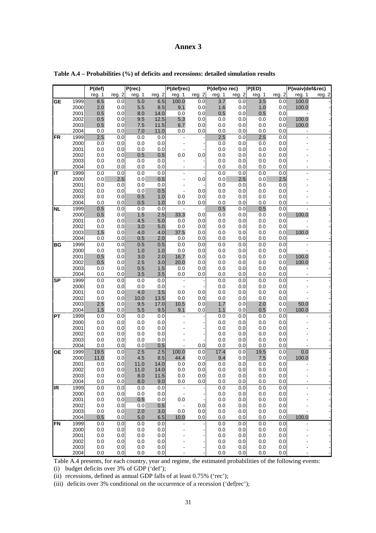### **Annex 3**

|           |              | $P(\text{def})$ |            | P(rec)         |              | P(def rec)           |            | P(def no rec)    |            | P(ED)          |            | P(waiv def&rec) |                          |
|-----------|--------------|-----------------|------------|----------------|--------------|----------------------|------------|------------------|------------|----------------|------------|-----------------|--------------------------|
|           |              | reg. 1          | reg. 2     | reg. 1         | reg. 2       | reg. 1               | reg. 2     | reg. 1           | reg. 2     | reg. 1         | reg. 2     | reg. 1          | reg. 2                   |
| <b>GE</b> | 1999         | 8.5             | 0.0        | 5.0            | 6.5          | 100.0                | 0.0        | $\overline{3.7}$ | 0.0        | 3.5            | 0.0        | 100.0           |                          |
|           | 2000         | 2.0             | 0.0        | $5.5\,$        | 8.5          | 9.1                  | 0.0        | 1.6              | 0.0        | 1.0            | 0.0        | 100.0           |                          |
|           | 2001         | 0.5             | 0.0        | 8.0            | 14.0         | 0.0                  | 0.0        | $0.5\,$          | 0.0        | 0.5            | 0.0        |                 |                          |
|           | 2002<br>2003 | 0.5<br>0.5      | 0.0<br>0.0 | 9.5<br>7.5     | 12.5<br>11.5 | 5.3<br>6.7           | 0.0<br>0.0 | 0.0<br>0.0       | 0.0<br>0.0 | 0.0<br>0.0     | 0.0<br>0.0 | 100.0<br>100.0  |                          |
|           | 2004         | 0.0             | 0.0        | 7.0            | 11.0         | 0.0                  | 0.0        | 0.0              | 0.0        | 0.0            | 0.0        | $\blacksquare$  |                          |
| FR        | 1999         | 2.5             | 0.0        | 0.0            | 0.0          | $\blacksquare$       |            | 2.5              | 0.0        | 2.5            | 0.0        |                 |                          |
|           | 2000         | 0.0             | 0.0        | 0.0            | 0.0          |                      |            | 0.0              | 0.0        | 0.0            | 0.0        |                 |                          |
|           | 2001         | 0.0             | 0.0        | 0.0            | 0.0          |                      |            | 0.0              | 0.0        | $0.0\,$        | 0.0        |                 |                          |
|           | 2002         | 0.0             | 0.0        | 0.5            | 0.5          | 0.0                  | 0.0        | 0.0              | 0.0        | 0.0            | 0.0        |                 |                          |
|           | 2003         | 0.0             | 0.0        | 0.0            | 0.0          |                      |            | 0.0              | 0.0        | 0.0            | 0.0        |                 |                          |
|           | 2004         | 0.0             | 0.0        | 0.0            | 0.0          |                      |            | 0.0              | 0.0        | 0.0            | 0.0        |                 |                          |
| lιT       | 1999         | 0.0             | 0.0        | 0.0            | 0.0          | $\blacksquare$       |            | 0.0              | 0.0        | 0.0            | 0.0        |                 |                          |
|           | 2000         | 0.0             | 2.5        | 0.0            | 0.5          |                      | 0.0        | 0.0              | 2.5        | 0.0            | 2.5        |                 |                          |
|           | 2001<br>2002 | 0.0<br>0.0      | 0.0        | 0.0<br>$0.0\,$ | 0.0<br>0.5   |                      | 0.0        | 0.0<br>0.0       | 0.0<br>0.0 | 0.0<br>$0.0\,$ | 0.0<br>0.0 |                 |                          |
|           | 2003         | 0.0             | 0.0<br>0.0 | 0.5            | 1.0          | 0.0                  | 0.0        | 0.0              | 0.0        | 0.0            | 0.0        |                 |                          |
|           | 2004         | 0.0             | 0.0        | 0.5            | 1.0          | 0.0                  | 0.0        | 0.0              | 0.0        | 0.0            | 0.0        |                 |                          |
| <b>NL</b> | 1999         | 0.5             | 0.0        | 0.0            | 0.0          |                      |            | 0.5              | 0.0        | 0.5            | 0.0        |                 |                          |
|           | 2000         | 0.5             | 0.0        | 1.5            | 2.5          | 33.3                 | 0.0        | 0.0              | 0.0        | 0.0            | 0.0        | 100.0           |                          |
|           | 2001         | 0.0             | $0.0\,$    | 4.5            | 5.0          | 0.0                  | 0.0        | $0.0\,$          | 0.0        | 0.0            | 0.0        |                 |                          |
|           | 2002         | 0.0             | 0.0        | 3.0            | 5.0          | 0.0                  | 0.0        | 0.0              | 0.0        | 0.0            | 0.0        |                 |                          |
|           | 2003         | 1.5             | 0.0        | 4.0            | 4.0          | 37.5                 | 0.0        | 0.0              | 0.0        | 0.0            | 0.0        | 100.0           |                          |
|           | 2004         | 0.0             | 0.0        | 0.5            | 2.0          | 0.0                  | 0.0        | 0.0              | 0.0        | 0.0            | 0.0        |                 |                          |
| ВG        | 1999         | 0.0             | 0.0        | 0.5            | 0.5          | 0.0                  | 0.0        | 0.0              | 0.0        | 0.0            | 0.0        |                 |                          |
|           | 2000<br>2001 | 0.0<br>0.5      | 0.0        | 1.0            | 1.0          | 0.0                  | 0.0        | 0.0              | 0.0<br>0.0 | 0.0            | 0.0<br>0.0 |                 |                          |
|           | 2002         | 0.5             | 0.0<br>0.0 | 3.0<br>2.5     | 2.0<br>3.0   | 16.7<br>20.0         | 0.0<br>0.0 | 0.0<br>0.0       | 0.0        | 0.0<br>0.0     | 0.0        | 100.0<br>100.0  |                          |
|           | 2003         | 0.0             | 0.0        | 0.5            | 1.5          | 0.0                  | 0.0        | 0.0              | 0.0        | 0.0            | 0.0        | $\overline{a}$  |                          |
|           | 2004         | 0.0             | 0.0        | 3.5            | 3.5          | 0.0                  | 0.0        | 0.0              | 0.0        | 0.0            | 0.0        |                 |                          |
| <b>SP</b> | 1999         | 0.0             | 0.0        | 0.0            | 0.0          |                      |            | 0.0              | 0.0        | 0.0            | 0.0        |                 |                          |
|           | 2000         | 0.0             | 0.0        | 0.0            | 0.0          |                      |            | 0.0              | 0.0        | 0.0            | 0.0        |                 |                          |
|           | 2001         | 0.0             | 0.0        | 4.0            | 3.5          | 0.0                  | 0.0        | 0.0              | 0.0        | 0.0            | 0.0        |                 |                          |
|           | 2002         | 0.0             | 0.0        | 10.0           | 13.5         | 0.0                  | 0.0        | 0.0              | 0.0        | 0.0            | 0.0        |                 |                          |
|           | 2003<br>2004 | 2.5<br>1.5      | 0.0<br>0.0 | 9.5<br>5.5     | 17.0<br>9.5  | 10.5<br>9.1          | 0.0<br>0.0 | 1.7<br>1.1       | 0.0<br>0.0 | 2.0<br>0.5     | 0.0<br>0.0 | 50.0<br>100.0   |                          |
| <b>PT</b> | 1999         | 0.0             | 0.0        | $0.0\,$        | 0.0          |                      |            | 0.0              | 0.0        | 0.0            | 0.0        |                 |                          |
|           | 2000         | 0.0             | 0.0        | 0.0            | 0.0          |                      |            | 0.0              | 0.0        | 0.0            | 0.0        |                 |                          |
|           | 2001         | 0.0             | 0.0        | 0.0            | 0.0          |                      |            | 0.0              | 0.0        | 0.0            | 0.0        |                 |                          |
|           | 2002         | 0.0             | 0.0        | 0.0            | 0.0          |                      |            | 0.0              | 0.0        | 0.0            | 0.0        |                 |                          |
|           | 2003         | 0.0             | 0.0        | 0.0            | 0.0          |                      |            | 0.0              | 0.0        | 0.0            | 0.0        |                 |                          |
|           | 2004         | 0.0             | 0.0        | 0.0            | 0.5          |                      | 0.0        | 0.0              | 0.0        | 0.0            | 0.0        |                 |                          |
| OЕ        | 1999         | 19.5            | 0.0        | 2.5            | 2.5          | 100.0                | 0.0        | 17.4             | 0.0        | 19.5           | 0.0        | 0.0             |                          |
|           | 2000         | 11.0            | 0.0        | 4.5            | 8.5          | 44.4                 | 0.0        | 9.4              | 0.0        | $7.5\,$        | 0.0        | 100.0           |                          |
|           | 2001         | 0.0             | 0.0        | 11.0<br>11.0   | 14.0         | 0.0                  | 0.0        | 0.0              | 0.0        | 0.0            | 0.0        |                 |                          |
|           | 2002<br>2003 | 0.0<br>0.0      | 0.0<br>0.0 | 8.0            | 14.0<br>11.5 | 0.0<br>0.0           | 0.0<br>0.0 | 0.0<br>0.0       | 0.0<br>0.0 | 0.0<br>0.0     | 0.0<br>0.0 |                 |                          |
|           | 2004         | 0.0             | 0.0        | 8.0            | 9.0          | 0.0                  | 0.0        | 0.0              | 0.0        | 0.0            | 0.0        |                 |                          |
| <b>IR</b> | 1999         | 0.0             | 0.0        | 0.0            | 0.0          | $\blacksquare$       |            | 0.0              | 0.0        | 0.0            | 0.0        | ÷               |                          |
|           | 2000         | 0.0             | 0.0        | 0.0            | 0.0          | $\blacksquare$       |            | 0.0              | 0.0        | 0.0            | 0.0        |                 |                          |
|           | 2001         | 0.0             | 0.0        | 0.5            | 0.0          | 0.0                  |            | 0.0              | 0.0        | 0.0            | 0.0        |                 |                          |
|           | 2002         | 0.0             | 0.0        | 0.0            | 0.5          | $\blacksquare$       | 0.0        | 0.0              | 0.0        | 0.0            | 0.0        |                 |                          |
|           | 2003         | 0.0             | 0.0        | 2.0            | 3.0          | 0.0                  | 0.0        | 0.0              | 0.0        | 0.0            | 0.0        |                 | $\overline{\phantom{a}}$ |
|           | 2004         | 0.5             | 0.0        | 5.0            | 6.5          | 10.0                 | 0.0        | 0.0              | 0.0        | 0.0            | 0.0        | 100.0           |                          |
| <b>FN</b> | 1999<br>2000 | 0.0<br>0.0      | 0.0<br>0.0 | 0.0<br>0.0     | 0.0          | ÷,<br>$\blacksquare$ |            | 0.0<br>0.0       | 0.0<br>0.0 | 0.0<br>0.0     | 0.0<br>0.0 | ÷,              |                          |
|           | 2001         | 0.0             | 0.0        | 0.0            | 0.0<br>0.0   |                      |            | 0.0              | 0.0        | 0.0            | 0.0        |                 | $\overline{\phantom{a}}$ |
|           | 2002         | 0.0             | 0.0        | 0.0            | 0.0          |                      |            | 0.0              | 0.0        | 0.0            | 0.0        |                 |                          |
|           | 2003         | 0.0             | 0.0        | 0.0            | 0.0          |                      | -          | 0.0              | 0.0        | 0.0            | 0.0        |                 |                          |
|           | 2004         | 0.0             | 0.0        | 0.0            | 0.0          |                      |            | 0.0              | 0.0        | 0.0            | 0.0        |                 |                          |

**Table A.4 – Probabilities (%) of deficits and recessions: detailed simulation results**

Table A.4 presents, for each country, year and regime, the estimated probabilities of the following events:

(i) budget deficits over 3% of GDP ('def');

(ii) recessions, defined as annual GDP falls of at least 0.75% ('rec');

(iii) deficits over 3% conditional on the occurrence of a recession ('def|rec');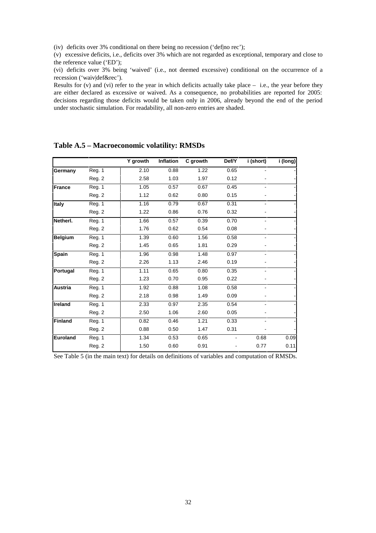(iv) deficits over 3% conditional on there being no recession ('def|no rec');

(v) excessive deficits, i.e., deficits over 3% which are not regarded as exceptional, temporary and close to the reference value ('ED');

(vi) deficits over 3% being 'waived' (i.e., not deemed excessive) conditional on the occurrence of a recession ('waiv|def&rec').

Results for  $(v)$  and  $(vi)$  refer to the year in which deficits actually take place – i.e., the year before they are either declared as excessive or waived. As a consequence, no probabilities are reported for 2005: decisions regarding those deficits would be taken only in 2006, already beyond the end of the period under stochastic simulation. For readability, all non-zero entries are shaded.

|                |               | Y growth | Inflation | C growth | Def/Y | i (short)      | i (long) |
|----------------|---------------|----------|-----------|----------|-------|----------------|----------|
| Germany        | <b>Reg. 1</b> | 2.10     | 0.88      | 1.22     | 0.65  |                |          |
|                | Reg. 2        | 2.58     | 1.03      | 1.97     | 0.12  |                |          |
| <b>France</b>  | Reg. 1        | 1.05     | 0.57      | 0.67     | 0.45  |                |          |
|                | Reg. 2        | 1.12     | 0.62      | 0.80     | 0.15  |                |          |
| Italy          | Reg. 1        | 1.16     | 0.79      | 0.67     | 0.31  | $\blacksquare$ |          |
|                | Reg. 2        | 1.22     | 0.86      | 0.76     | 0.32  |                |          |
| Netherl.       | Reg. 1        | 1.66     | 0.57      | 0.39     | 0.70  | $\blacksquare$ |          |
|                | Reg. 2        | 1.76     | 0.62      | 0.54     | 0.08  |                |          |
| <b>Belgium</b> | Reg. 1        | 1.39     | 0.60      | 1.56     | 0.58  |                |          |
|                | Reg. 2        | 1.45     | 0.65      | 1.81     | 0.29  |                |          |
| Spain          | Reg. 1        | 1.96     | 0.98      | 1.48     | 0.97  |                |          |
|                | Reg. 2        | 2.26     | 1.13      | 2.46     | 0.19  |                |          |
| Portugal       | Reg. 1        | 1.11     | 0.65      | 0.80     | 0.35  | ۰              |          |
|                | Reg. 2        | 1.23     | 0.70      | 0.95     | 0.22  |                |          |
| Austria        | Reg. 1        | 1.92     | 0.88      | 1.08     | 0.58  |                |          |
|                | Reg. 2        | 2.18     | 0.98      | 1.49     | 0.09  |                |          |
| <b>Ireland</b> | Reg. 1        | 2.33     | 0.97      | 2.35     | 0.54  | ۰              |          |
|                | Reg. 2        | 2.50     | 1.06      | 2.60     | 0.05  |                |          |
| <b>Finland</b> | Reg. 1        | 0.82     | 0.46      | 1.21     | 0.33  | $\blacksquare$ |          |
|                | Reg. 2        | 0.88     | 0.50      | 1.47     | 0.31  |                |          |
| Euroland       | Reg. 1        | 1.34     | 0.53      | 0.65     |       | 0.68           | 0.09     |
|                | Reg. 2        | 1.50     | 0.60      | 0.91     |       | 0.77           | 0.11     |

**Table A.5 – Macroeconomic volatility: RMSDs**

See Table 5 (in the main text) for details on definitions of variables and computation of RMSDs.